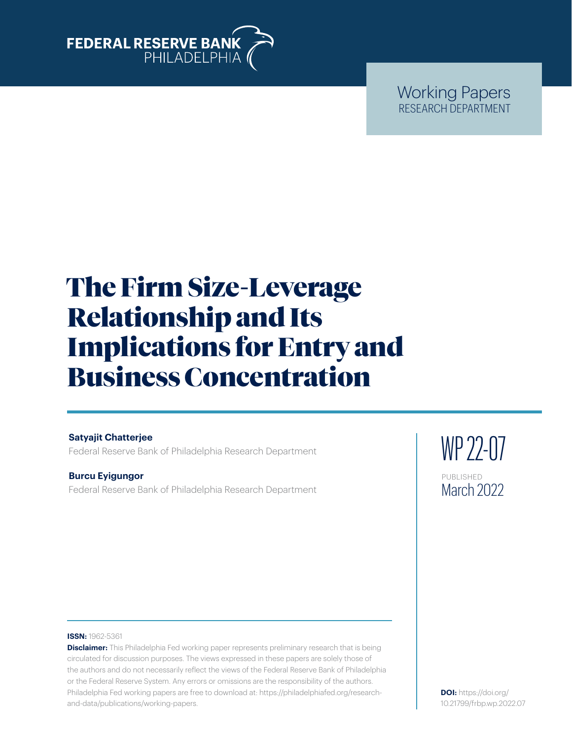

Working Papers RESEARCH DEPARTMENT

# The Firm Size-Leverage Relationship and Its Implications for Entry and Business Concentration

## **Satyajit Chatterjee**

Federal Reserve Bank of Philadelphia Research Department

## **Burcu Eyigungor**

Federal Reserve Bank of Philadelphia Research Department

WP 22-07 PUBLISHED March 2022

#### **ISSN:** 1962-5361

**Disclaimer:** This Philadelphia Fed working paper represents preliminary research that is being circulated for discussion purposes. The views expressed in these papers are solely those of the authors and do not necessarily reflect the views of the Federal Reserve Bank of Philadelphia or the Federal Reserve System. Any errors or omissions are the responsibility of the authors. Philadelphia Fed working papers are free to download at: [https://philadelphiafed.org/research](https://philadelphiafed.org/research-and-data/publications/working-papers)[and-data/publications/working-papers](https://philadelphiafed.org/research-and-data/publications/working-papers).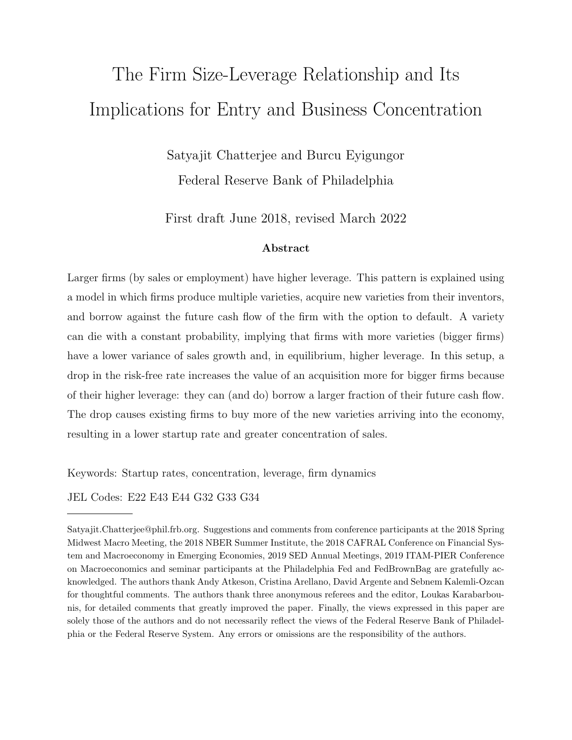## The Firm Size-Leverage Relationship and Its Implications for Entry and Business Concentration

Satyajit Chatterjee and Burcu Eyigungor Federal Reserve Bank of Philadelphia

First draft June 2018, revised March 2022

## Abstract

Larger firms (by sales or employment) have higher leverage. This pattern is explained using a model in which firms produce multiple varieties, acquire new varieties from their inventors, and borrow against the future cash flow of the firm with the option to default. A variety can die with a constant probability, implying that firms with more varieties (bigger firms) have a lower variance of sales growth and, in equilibrium, higher leverage. In this setup, a drop in the risk-free rate increases the value of an acquisition more for bigger firms because of their higher leverage: they can (and do) borrow a larger fraction of their future cash flow. The drop causes existing firms to buy more of the new varieties arriving into the economy, resulting in a lower startup rate and greater concentration of sales.

Keywords: Startup rates, concentration, leverage, firm dynamics

JEL Codes: E22 E43 E44 G32 G33 G34

Satyajit.Chatterjee@phil.frb.org. Suggestions and comments from conference participants at the 2018 Spring Midwest Macro Meeting, the 2018 NBER Summer Institute, the 2018 CAFRAL Conference on Financial System and Macroeconomy in Emerging Economies, 2019 SED Annual Meetings, 2019 ITAM-PIER Conference on Macroeconomics and seminar participants at the Philadelphia Fed and FedBrownBag are gratefully acknowledged. The authors thank Andy Atkeson, Cristina Arellano, David Argente and Sebnem Kalemli-Ozcan for thoughtful comments. The authors thank three anonymous referees and the editor, Loukas Karabarbounis, for detailed comments that greatly improved the paper. Finally, the views expressed in this paper are solely those of the authors and do not necessarily reflect the views of the Federal Reserve Bank of Philadelphia or the Federal Reserve System. Any errors or omissions are the responsibility of the authors.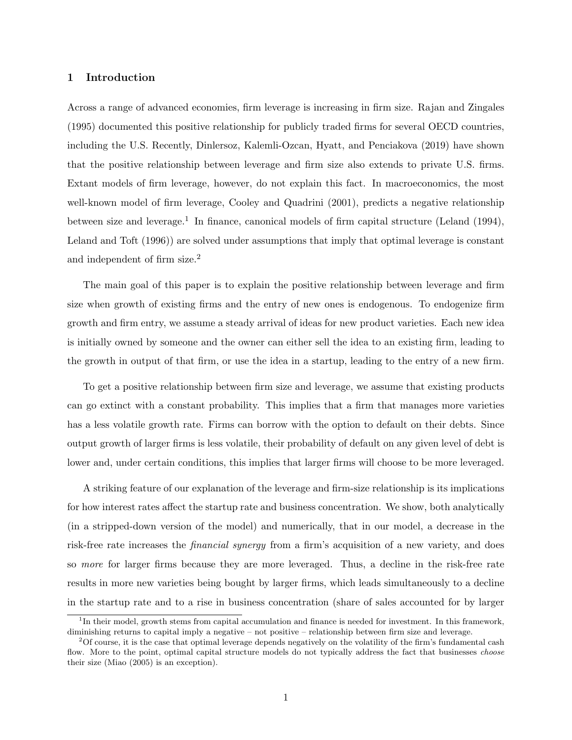## 1 Introduction

Across a range of advanced economies, firm leverage is increasing in firm size. Rajan and Zingales (1995) documented this positive relationship for publicly traded firms for several OECD countries, including the U.S. Recently, Dinlersoz, Kalemli-Ozcan, Hyatt, and Penciakova (2019) have shown that the positive relationship between leverage and firm size also extends to private U.S. firms. Extant models of firm leverage, however, do not explain this fact. In macroeconomics, the most well-known model of firm leverage, Cooley and Quadrini (2001), predicts a negative relationship between size and leverage.<sup>1</sup> In finance, canonical models of firm capital structure (Leland (1994), Leland and Toft (1996)) are solved under assumptions that imply that optimal leverage is constant and independent of firm size.<sup>2</sup>

The main goal of this paper is to explain the positive relationship between leverage and firm size when growth of existing firms and the entry of new ones is endogenous. To endogenize firm growth and firm entry, we assume a steady arrival of ideas for new product varieties. Each new idea is initially owned by someone and the owner can either sell the idea to an existing firm, leading to the growth in output of that firm, or use the idea in a startup, leading to the entry of a new firm.

To get a positive relationship between firm size and leverage, we assume that existing products can go extinct with a constant probability. This implies that a firm that manages more varieties has a less volatile growth rate. Firms can borrow with the option to default on their debts. Since output growth of larger firms is less volatile, their probability of default on any given level of debt is lower and, under certain conditions, this implies that larger firms will choose to be more leveraged.

A striking feature of our explanation of the leverage and firm-size relationship is its implications for how interest rates affect the startup rate and business concentration. We show, both analytically (in a stripped-down version of the model) and numerically, that in our model, a decrease in the risk-free rate increases the financial synergy from a firm's acquisition of a new variety, and does so *more* for larger firms because they are more leveraged. Thus, a decline in the risk-free rate results in more new varieties being bought by larger firms, which leads simultaneously to a decline in the startup rate and to a rise in business concentration (share of sales accounted for by larger

<sup>&</sup>lt;sup>1</sup>In their model, growth stems from capital accumulation and finance is needed for investment. In this framework, diminishing returns to capital imply a negative – not positive – relationship between firm size and leverage.

 $2^2$ Of course, it is the case that optimal leverage depends negatively on the volatility of the firm's fundamental cash flow. More to the point, optimal capital structure models do not typically address the fact that businesses *choose* their size (Miao (2005) is an exception).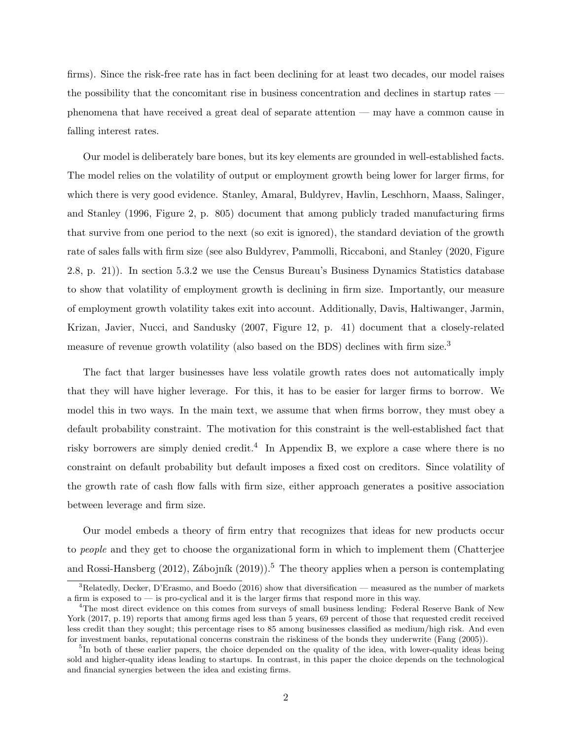firms). Since the risk-free rate has in fact been declining for at least two decades, our model raises the possibility that the concomitant rise in business concentration and declines in startup rates phenomena that have received a great deal of separate attention — may have a common cause in falling interest rates.

Our model is deliberately bare bones, but its key elements are grounded in well-established facts. The model relies on the volatility of output or employment growth being lower for larger firms, for which there is very good evidence. Stanley, Amaral, Buldyrev, Havlin, Leschhorn, Maass, Salinger, and Stanley (1996, Figure 2, p. 805) document that among publicly traded manufacturing firms that survive from one period to the next (so exit is ignored), the standard deviation of the growth rate of sales falls with firm size (see also Buldyrev, Pammolli, Riccaboni, and Stanley (2020, Figure 2.8, p. 21)). In section 5.3.2 we use the Census Bureau's Business Dynamics Statistics database to show that volatility of employment growth is declining in firm size. Importantly, our measure of employment growth volatility takes exit into account. Additionally, Davis, Haltiwanger, Jarmin, Krizan, Javier, Nucci, and Sandusky (2007, Figure 12, p. 41) document that a closely-related measure of revenue growth volatility (also based on the BDS) declines with firm size.<sup>3</sup>

The fact that larger businesses have less volatile growth rates does not automatically imply that they will have higher leverage. For this, it has to be easier for larger firms to borrow. We model this in two ways. In the main text, we assume that when firms borrow, they must obey a default probability constraint. The motivation for this constraint is the well-established fact that risky borrowers are simply denied credit.<sup>4</sup> In Appendix B, we explore a case where there is no constraint on default probability but default imposes a fixed cost on creditors. Since volatility of the growth rate of cash flow falls with firm size, either approach generates a positive association between leverage and firm size.

Our model embeds a theory of firm entry that recognizes that ideas for new products occur to people and they get to choose the organizational form in which to implement them (Chatterjee and Rossi-Hansberg (2012), Zábojník (2019).<sup>5</sup> The theory applies when a person is contemplating

 $3Relatedly$ , Decker, D'Erasmo, and Boedo (2016) show that diversification — measured as the number of markets a firm is exposed to — is pro-cyclical and it is the larger firms that respond more in this way.

<sup>&</sup>lt;sup>4</sup>The most direct evidence on this comes from surveys of small business lending: Federal Reserve Bank of New York (2017, p. 19) reports that among firms aged less than 5 years, 69 percent of those that requested credit received less credit than they sought; this percentage rises to 85 among businesses classified as medium/high risk. And even for investment banks, reputational concerns constrain the riskiness of the bonds they underwrite (Fang (2005)).

<sup>&</sup>lt;sup>5</sup>In both of these earlier papers, the choice depended on the quality of the idea, with lower-quality ideas being sold and higher-quality ideas leading to startups. In contrast, in this paper the choice depends on the technological and financial synergies between the idea and existing firms.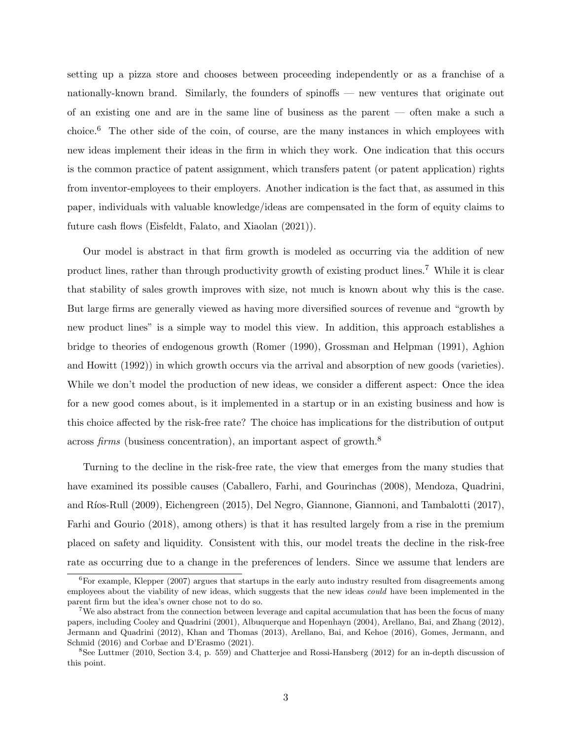setting up a pizza store and chooses between proceeding independently or as a franchise of a nationally-known brand. Similarly, the founders of spinoffs — new ventures that originate out of an existing one and are in the same line of business as the parent — often make a such a choice.<sup>6</sup> The other side of the coin, of course, are the many instances in which employees with new ideas implement their ideas in the firm in which they work. One indication that this occurs is the common practice of patent assignment, which transfers patent (or patent application) rights from inventor-employees to their employers. Another indication is the fact that, as assumed in this paper, individuals with valuable knowledge/ideas are compensated in the form of equity claims to future cash flows (Eisfeldt, Falato, and Xiaolan (2021)).

Our model is abstract in that firm growth is modeled as occurring via the addition of new product lines, rather than through productivity growth of existing product lines.<sup>7</sup> While it is clear that stability of sales growth improves with size, not much is known about why this is the case. But large firms are generally viewed as having more diversified sources of revenue and "growth by new product lines" is a simple way to model this view. In addition, this approach establishes a bridge to theories of endogenous growth (Romer (1990), Grossman and Helpman (1991), Aghion and Howitt (1992)) in which growth occurs via the arrival and absorption of new goods (varieties). While we don't model the production of new ideas, we consider a different aspect: Once the idea for a new good comes about, is it implemented in a startup or in an existing business and how is this choice affected by the risk-free rate? The choice has implications for the distribution of output across firms (business concentration), an important aspect of growth.<sup>8</sup>

Turning to the decline in the risk-free rate, the view that emerges from the many studies that have examined its possible causes (Caballero, Farhi, and Gourinchas (2008), Mendoza, Quadrini, and Ríos-Rull (2009), Eichengreen (2015), Del Negro, Giannone, Giannoni, and Tambalotti (2017), Farhi and Gourio (2018), among others) is that it has resulted largely from a rise in the premium placed on safety and liquidity. Consistent with this, our model treats the decline in the risk-free rate as occurring due to a change in the preferences of lenders. Since we assume that lenders are

 ${}^{6}$ For example, Klepper (2007) argues that startups in the early auto industry resulted from disagreements among employees about the viability of new ideas, which suggests that the new ideas could have been implemented in the parent firm but the idea's owner chose not to do so.

<sup>7</sup>We also abstract from the connection between leverage and capital accumulation that has been the focus of many papers, including Cooley and Quadrini (2001), Albuquerque and Hopenhayn (2004), Arellano, Bai, and Zhang (2012), Jermann and Quadrini (2012), Khan and Thomas (2013), Arellano, Bai, and Kehoe (2016), Gomes, Jermann, and Schmid (2016) and Corbae and D'Erasmo (2021).

<sup>8</sup>See Luttmer (2010, Section 3.4, p. 559) and Chatterjee and Rossi-Hansberg (2012) for an in-depth discussion of this point.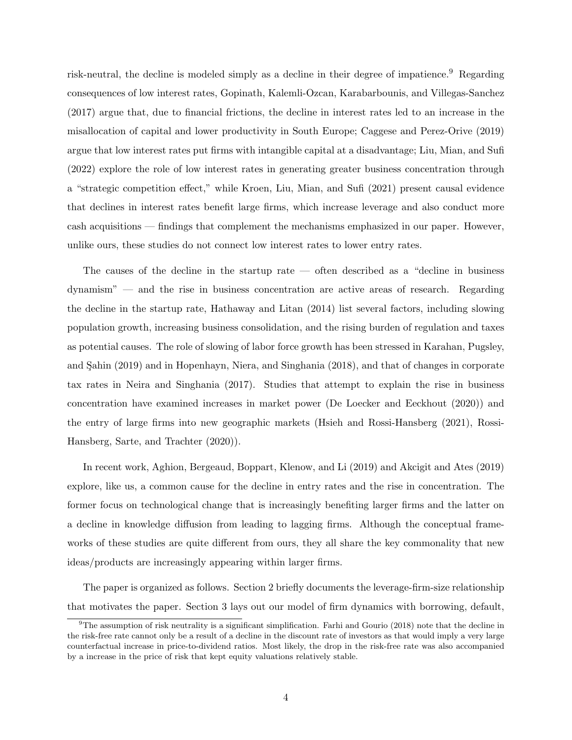risk-neutral, the decline is modeled simply as a decline in their degree of impatience.<sup>9</sup> Regarding consequences of low interest rates, Gopinath, Kalemli-Ozcan, Karabarbounis, and Villegas-Sanchez (2017) argue that, due to financial frictions, the decline in interest rates led to an increase in the misallocation of capital and lower productivity in South Europe; Caggese and Perez-Orive (2019) argue that low interest rates put firms with intangible capital at a disadvantage; Liu, Mian, and Sufi (2022) explore the role of low interest rates in generating greater business concentration through a "strategic competition effect," while Kroen, Liu, Mian, and Sufi (2021) present causal evidence that declines in interest rates benefit large firms, which increase leverage and also conduct more cash acquisitions — findings that complement the mechanisms emphasized in our paper. However, unlike ours, these studies do not connect low interest rates to lower entry rates.

The causes of the decline in the startup rate — often described as a "decline in business dynamism" — and the rise in business concentration are active areas of research. Regarding the decline in the startup rate, Hathaway and Litan (2014) list several factors, including slowing population growth, increasing business consolidation, and the rising burden of regulation and taxes as potential causes. The role of slowing of labor force growth has been stressed in Karahan, Pugsley, and Sahin (2019) and in Hopenhayn, Niera, and Singhania (2018), and that of changes in corporate tax rates in Neira and Singhania (2017). Studies that attempt to explain the rise in business concentration have examined increases in market power (De Loecker and Eeckhout (2020)) and the entry of large firms into new geographic markets (Hsieh and Rossi-Hansberg (2021), Rossi-Hansberg, Sarte, and Trachter (2020)).

In recent work, Aghion, Bergeaud, Boppart, Klenow, and Li (2019) and Akcigit and Ates (2019) explore, like us, a common cause for the decline in entry rates and the rise in concentration. The former focus on technological change that is increasingly benefiting larger firms and the latter on a decline in knowledge diffusion from leading to lagging firms. Although the conceptual frameworks of these studies are quite different from ours, they all share the key commonality that new ideas/products are increasingly appearing within larger firms.

The paper is organized as follows. Section 2 briefly documents the leverage-firm-size relationship that motivates the paper. Section 3 lays out our model of firm dynamics with borrowing, default,

 $9$ The assumption of risk neutrality is a significant simplification. Farhi and Gourio (2018) note that the decline in the risk-free rate cannot only be a result of a decline in the discount rate of investors as that would imply a very large counterfactual increase in price-to-dividend ratios. Most likely, the drop in the risk-free rate was also accompanied by a increase in the price of risk that kept equity valuations relatively stable.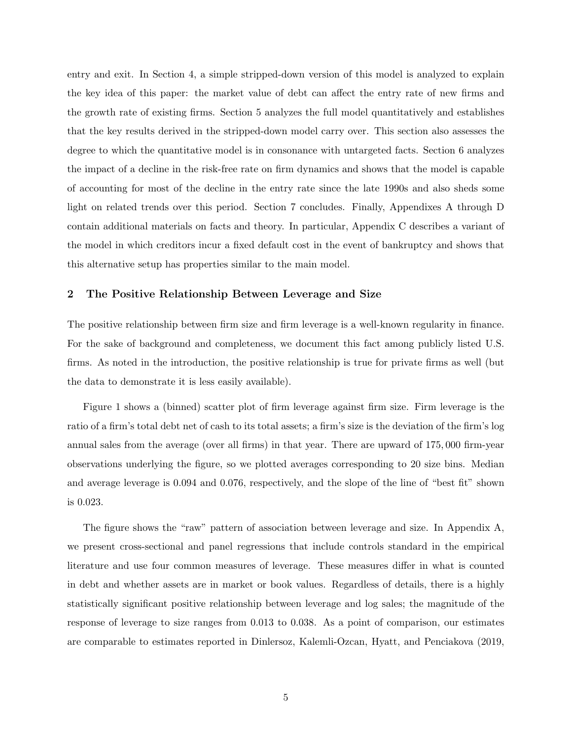entry and exit. In Section 4, a simple stripped-down version of this model is analyzed to explain the key idea of this paper: the market value of debt can affect the entry rate of new firms and the growth rate of existing firms. Section 5 analyzes the full model quantitatively and establishes that the key results derived in the stripped-down model carry over. This section also assesses the degree to which the quantitative model is in consonance with untargeted facts. Section 6 analyzes the impact of a decline in the risk-free rate on firm dynamics and shows that the model is capable of accounting for most of the decline in the entry rate since the late 1990s and also sheds some light on related trends over this period. Section 7 concludes. Finally, Appendixes A through D contain additional materials on facts and theory. In particular, Appendix C describes a variant of the model in which creditors incur a fixed default cost in the event of bankruptcy and shows that this alternative setup has properties similar to the main model.

#### 2 The Positive Relationship Between Leverage and Size

The positive relationship between firm size and firm leverage is a well-known regularity in finance. For the sake of background and completeness, we document this fact among publicly listed U.S. firms. As noted in the introduction, the positive relationship is true for private firms as well (but the data to demonstrate it is less easily available).

Figure 1 shows a (binned) scatter plot of firm leverage against firm size. Firm leverage is the ratio of a firm's total debt net of cash to its total assets; a firm's size is the deviation of the firm's log annual sales from the average (over all firms) in that year. There are upward of 175, 000 firm-year observations underlying the figure, so we plotted averages corresponding to 20 size bins. Median and average leverage is 0.094 and 0.076, respectively, and the slope of the line of "best fit" shown is 0.023.

The figure shows the "raw" pattern of association between leverage and size. In Appendix A, we present cross-sectional and panel regressions that include controls standard in the empirical literature and use four common measures of leverage. These measures differ in what is counted in debt and whether assets are in market or book values. Regardless of details, there is a highly statistically significant positive relationship between leverage and log sales; the magnitude of the response of leverage to size ranges from 0.013 to 0.038. As a point of comparison, our estimates are comparable to estimates reported in Dinlersoz, Kalemli-Ozcan, Hyatt, and Penciakova (2019,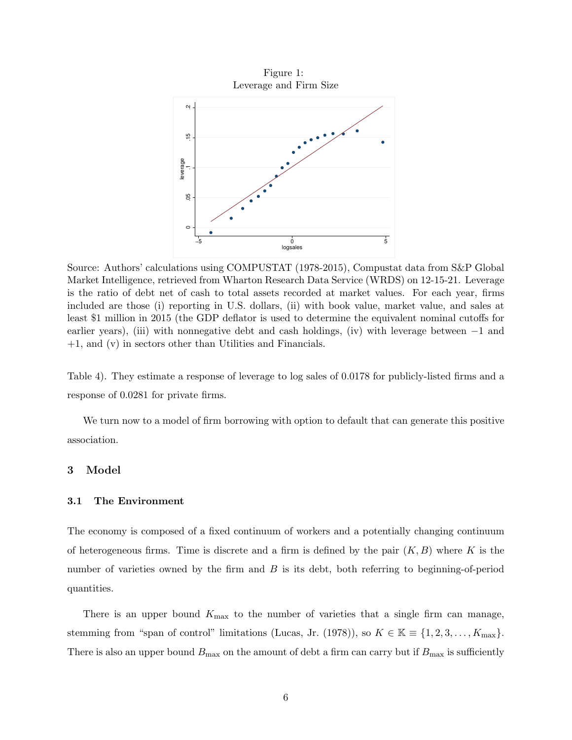

Source: Authors' calculations using COMPUSTAT (1978-2015), Compustat data from S&P Global Market Intelligence, retrieved from Wharton Research Data Service (WRDS) on 12-15-21. Leverage is the ratio of debt net of cash to total assets recorded at market values. For each year, firms included are those (i) reporting in U.S. dollars, (ii) with book value, market value, and sales at least \$1 million in 2015 (the GDP deflator is used to determine the equivalent nominal cutoffs for earlier years), (iii) with nonnegative debt and cash holdings, (iv) with leverage between −1 and +1, and (v) in sectors other than Utilities and Financials.

Table 4). They estimate a response of leverage to log sales of 0.0178 for publicly-listed firms and a response of 0.0281 for private firms.

We turn now to a model of firm borrowing with option to default that can generate this positive association.

### 3 Model

#### 3.1 The Environment

The economy is composed of a fixed continuum of workers and a potentially changing continuum of heterogeneous firms. Time is discrete and a firm is defined by the pair  $(K, B)$  where K is the number of varieties owned by the firm and  $B$  is its debt, both referring to beginning-of-period quantities.

There is an upper bound  $K_{\text{max}}$  to the number of varieties that a single firm can manage, stemming from "span of control" limitations (Lucas, Jr. (1978)), so  $K \in \mathbb{K} \equiv \{1, 2, 3, \ldots, K_{\text{max}}\}.$ There is also an upper bound  $B_{\text{max}}$  on the amount of debt a firm can carry but if  $B_{\text{max}}$  is sufficiently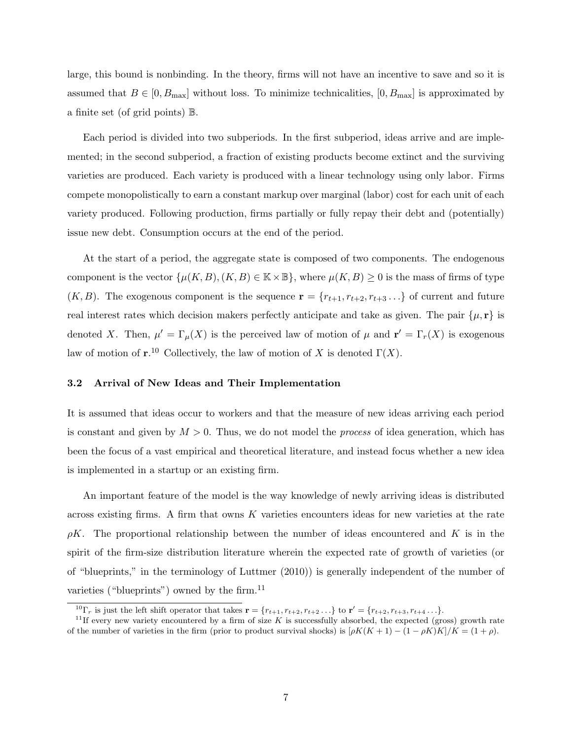large, this bound is nonbinding. In the theory, firms will not have an incentive to save and so it is assumed that  $B \in [0, B_{\text{max}}]$  without loss. To minimize technicalities,  $[0, B_{\text{max}}]$  is approximated by a finite set (of grid points) B.

Each period is divided into two subperiods. In the first subperiod, ideas arrive and are implemented; in the second subperiod, a fraction of existing products become extinct and the surviving varieties are produced. Each variety is produced with a linear technology using only labor. Firms compete monopolistically to earn a constant markup over marginal (labor) cost for each unit of each variety produced. Following production, firms partially or fully repay their debt and (potentially) issue new debt. Consumption occurs at the end of the period.

At the start of a period, the aggregate state is composed of two components. The endogenous component is the vector  $\{\mu(K, B), (K, B) \in \mathbb{K} \times \mathbb{B}\}\,$ , where  $\mu(K, B) \geq 0$  is the mass of firms of type  $(K, B)$ . The exogenous component is the sequence  $\mathbf{r} = \{r_{t+1}, r_{t+2}, r_{t+3} \ldots\}$  of current and future real interest rates which decision makers perfectly anticipate and take as given. The pair  $\{\mu, \mathbf{r}\}\$ is denoted X. Then,  $\mu' = \Gamma_{\mu}(X)$  is the perceived law of motion of  $\mu$  and  $\mathbf{r}' = \Gamma_{r}(X)$  is exogenous law of motion of  $r^{10}$ . Collectively, the law of motion of X is denoted  $\Gamma(X)$ .

#### 3.2 Arrival of New Ideas and Their Implementation

It is assumed that ideas occur to workers and that the measure of new ideas arriving each period is constant and given by  $M > 0$ . Thus, we do not model the *process* of idea generation, which has been the focus of a vast empirical and theoretical literature, and instead focus whether a new idea is implemented in a startup or an existing firm.

An important feature of the model is the way knowledge of newly arriving ideas is distributed across existing firms. A firm that owns K varieties encounters ideas for new varieties at the rate  $\rho K$ . The proportional relationship between the number of ideas encountered and K is in the spirit of the firm-size distribution literature wherein the expected rate of growth of varieties (or of "blueprints," in the terminology of Luttmer (2010)) is generally independent of the number of varieties ("blueprints") owned by the firm.<sup>11</sup>

<sup>&</sup>lt;sup>10</sup> $\Gamma_r$  is just the left shift operator that takes  $\mathbf{r} = \{r_{t+1}, r_{t+2}, r_{t+2} \ldots\}$  to  $\mathbf{r}' = \{r_{t+2}, r_{t+3}, r_{t+4} \ldots\}$ .

<sup>&</sup>lt;sup>11</sup>If every new variety encountered by a firm of size K is successfully absorbed, the expected (gross) growth rate of the number of varieties in the firm (prior to product survival shocks) is  $\left[\rho K(K+1)-(1-\rho K)K\right]/K=(1+\rho)$ .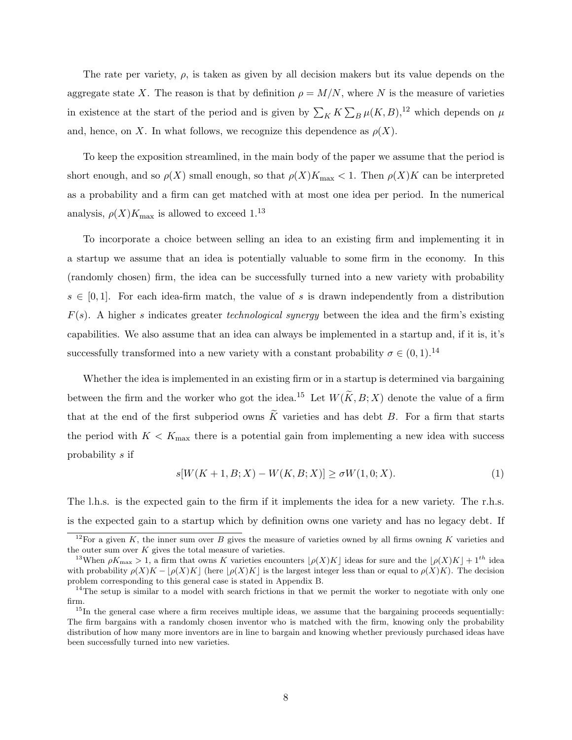The rate per variety,  $\rho$ , is taken as given by all decision makers but its value depends on the aggregate state X. The reason is that by definition  $\rho = M/N$ , where N is the measure of varieties in existence at the start of the period and is given by  $\sum_K K \sum_B \mu(K, B)$ ,<sup>12</sup> which depends on  $\mu$ and, hence, on X. In what follows, we recognize this dependence as  $\rho(X)$ .

To keep the exposition streamlined, in the main body of the paper we assume that the period is short enough, and so  $\rho(X)$  small enough, so that  $\rho(X)K_{\max} < 1$ . Then  $\rho(X)K$  can be interpreted as a probability and a firm can get matched with at most one idea per period. In the numerical analysis,  $\rho(X)K_{\text{max}}$  is allowed to exceed 1.<sup>13</sup>

To incorporate a choice between selling an idea to an existing firm and implementing it in a startup we assume that an idea is potentially valuable to some firm in the economy. In this (randomly chosen) firm, the idea can be successfully turned into a new variety with probability  $s \in [0,1]$ . For each idea-firm match, the value of s is drawn independently from a distribution  $F(s)$ . A higher s indicates greater technological synergy between the idea and the firm's existing capabilities. We also assume that an idea can always be implemented in a startup and, if it is, it's successfully transformed into a new variety with a constant probability  $\sigma \in (0,1).^{14}$ 

Whether the idea is implemented in an existing firm or in a startup is determined via bargaining between the firm and the worker who got the idea.<sup>15</sup> Let  $W(\widetilde{K}, B; X)$  denote the value of a firm that at the end of the first subperiod owns  $\widetilde{K}$  varieties and has debt B. For a firm that starts the period with  $K < K_{\text{max}}$  there is a potential gain from implementing a new idea with success probability s if

$$
s[W(K+1, B; X) - W(K, B; X)] \ge \sigma W(1, 0; X). \tag{1}
$$

The l.h.s. is the expected gain to the firm if it implements the idea for a new variety. The r.h.s. is the expected gain to a startup which by definition owns one variety and has no legacy debt. If

<sup>&</sup>lt;sup>12</sup>For a given K, the inner sum over B gives the measure of varieties owned by all firms owning K varieties and the outer sum over K gives the total measure of varieties.

<sup>&</sup>lt;sup>13</sup>When  $\rho K_{\text{max}} > 1$ , a firm that owns K varieties encounters  $|\rho(X)K|$  ideas for sure and the  $|\rho(X)K| + 1^{th}$  idea with probability  $\rho(X)K - \rho(X)K$  (here  $\rho(X)K$ ) is the largest integer less than or equal to  $\rho(X)K$ ). The decision problem corresponding to this general case is stated in Appendix B.

<sup>&</sup>lt;sup>14</sup>The setup is similar to a model with search frictions in that we permit the worker to negotiate with only one firm.

 $15$ In the general case where a firm receives multiple ideas, we assume that the bargaining proceeds sequentially: The firm bargains with a randomly chosen inventor who is matched with the firm, knowing only the probability distribution of how many more inventors are in line to bargain and knowing whether previously purchased ideas have been successfully turned into new varieties.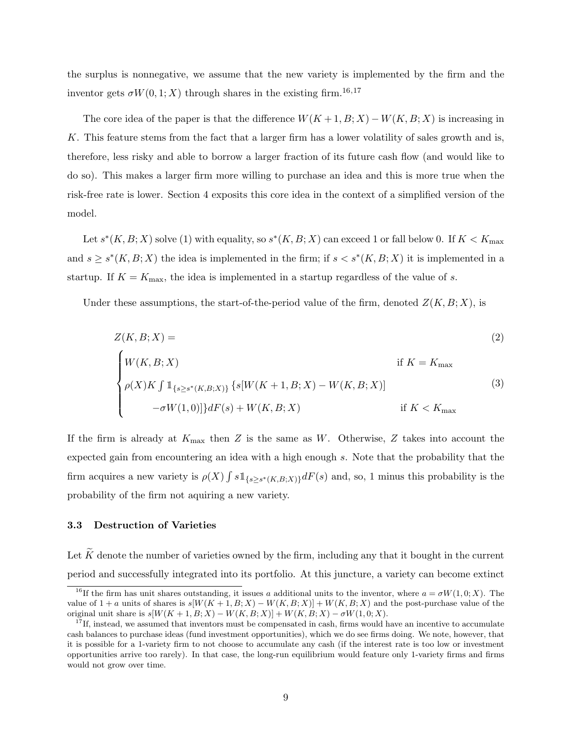the surplus is nonnegative, we assume that the new variety is implemented by the firm and the inventor gets  $\sigma W(0, 1; X)$  through shares in the existing firm.<sup>16,17</sup>

The core idea of the paper is that the difference  $W(K+1, B; X) - W(K, B; X)$  is increasing in K. This feature stems from the fact that a larger firm has a lower volatility of sales growth and is, therefore, less risky and able to borrow a larger fraction of its future cash flow (and would like to do so). This makes a larger firm more willing to purchase an idea and this is more true when the risk-free rate is lower. Section 4 exposits this core idea in the context of a simplified version of the model.

Let  $s^*(K, B; X)$  solve (1) with equality, so  $s^*(K, B; X)$  can exceed 1 or fall below 0. If  $K < K_{\text{max}}$ and  $s \geq s^*(K, B; X)$  the idea is implemented in the firm; if  $s < s^*(K, B; X)$  it is implemented in a startup. If  $K = K_{\text{max}}$ , the idea is implemented in a startup regardless of the value of s.

Under these assumptions, the start-of-the-period value of the firm, denoted  $Z(K, B; X)$ , is

$$
Z(K, B; X) =
$$
\n
$$
\begin{cases}\nW(K, B; X) & \text{if } K = K_{\text{max}} \\
\rho(X)K \int \mathbb{1}_{\{s \ge s^*(K, B; X)\}} \{s[W(K+1, B; X) - W(K, B; X)] \\
-\sigma W(1, 0)]\} dF(s) + W(K, B; X)\n\end{cases}
$$
\n
$$
(3)
$$
\nif  $K < K_{\text{max}}$ 

If the firm is already at  $K_{\text{max}}$  then Z is the same as W. Otherwise, Z takes into account the expected gain from encountering an idea with a high enough s. Note that the probability that the firm acquires a new variety is  $\rho(X) \int s \mathbb{1}_{\{s \geq s^*(K,B;X)\}} dF(s)$  and, so, 1 minus this probability is the probability of the firm not aquiring a new variety.

#### 3.3 Destruction of Varieties

Let  $\widetilde{K}$  denote the number of varieties owned by the firm, including any that it bought in the current period and successfully integrated into its portfolio. At this juncture, a variety can become extinct

<sup>&</sup>lt;sup>16</sup>If the firm has unit shares outstanding, it issues a additional units to the inventor, where  $a = \sigma W(1, 0; X)$ . The value of  $1 + a$  units of shares is  $s[W(K + 1, B; X) - W(K, B; X)] + W(K, B; X)$  and the post-purchase value of the original unit share is  $s[W(K + 1, B; X) - W(K, B; X)] + W(K, B; X) - \sigma W(1, 0; X).$ 

 $17$ If, instead, we assumed that inventors must be compensated in cash, firms would have an incentive to accumulate cash balances to purchase ideas (fund investment opportunities), which we do see firms doing. We note, however, that it is possible for a 1-variety firm to not choose to accumulate any cash (if the interest rate is too low or investment opportunities arrive too rarely). In that case, the long-run equilibrium would feature only 1-variety firms and firms would not grow over time.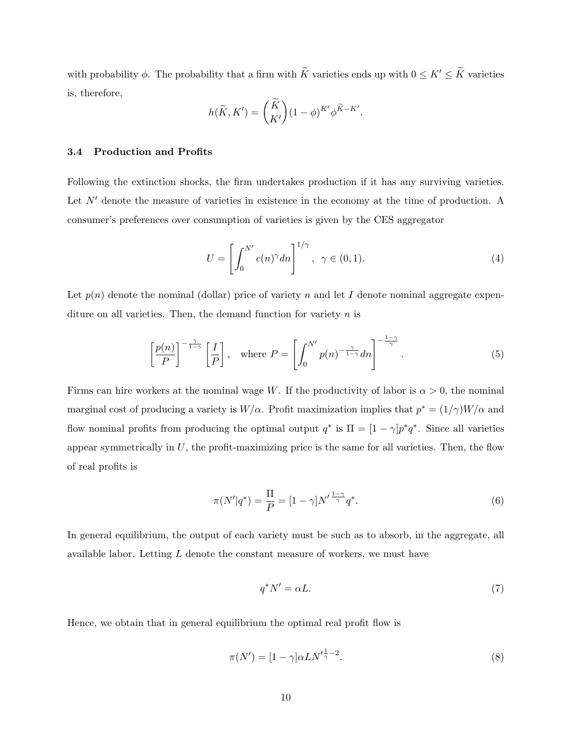with probability  $\phi$ . The probability that a firm with  $\widetilde{K}$  varieties ends up with  $0 \leq K' \leq \widetilde{K}$  varieties is, therefore,

$$
h(\widetilde{K}, K') = \binom{\widetilde{K}}{K'} (1 - \phi)^{K'} \phi^{\widetilde{K} - K'}.
$$

#### 3.4 Production and Profits

Following the extinction shocks, the firm undertakes production if it has any surviving varieties. Let  $N'$  denote the measure of varieties in existence in the economy at the time of production. A consumer's preferences over consumption of varieties is given by the CES aggregator

$$
U = \left[ \int_0^{N'} c(n)^\gamma dn \right]^{1/\gamma}, \ \gamma \in (0, 1). \tag{4}
$$

Let  $p(n)$  denote the nominal (dollar) price of variety n and let I denote nominal aggregate expenditure on all varieties. Then, the demand function for variety  $n$  is

$$
\left[\frac{p(n)}{P}\right]^{-\frac{\gamma}{1-\gamma}}\left[\frac{I}{P}\right], \quad \text{where } P = \left[\int_0^{N'} p(n)^{-\frac{\gamma}{1-\gamma}} dn\right]^{-\frac{1-\gamma}{\gamma}}.
$$
 (5)

Firms can hire workers at the nominal wage W. If the productivity of labor is  $\alpha > 0$ , the nominal marginal cost of producing a variety is  $W/\alpha$ . Profit maximization implies that  $p^* = (1/\gamma)W/\alpha$  and flow nominal profits from producing the optimal output  $q^*$  is  $\Pi = \left[1 - \gamma\right]p^*q^*$ . Since all varieties appear symmetrically in  $U$ , the profit-maximizing price is the same for all varieties. Then, the flow of real profits is

$$
\pi(N'|q^*) = \frac{\Pi}{P} = [1 - \gamma]N'^{\frac{1-\gamma}{\gamma}}q^*.
$$
\n(6)

In general equilibrium, the output of each variety must be such as to absorb, in the aggregate, all available labor. Letting  $L$  denote the constant measure of workers, we must have

$$
q^*N' = \alpha L. \tag{7}
$$

Hence, we obtain that in general equilibrium the optimal real profit flow is

$$
\pi(N') = [1 - \gamma] \alpha L N'^{\frac{1}{\gamma} - 2}.
$$
\n
$$
(8)
$$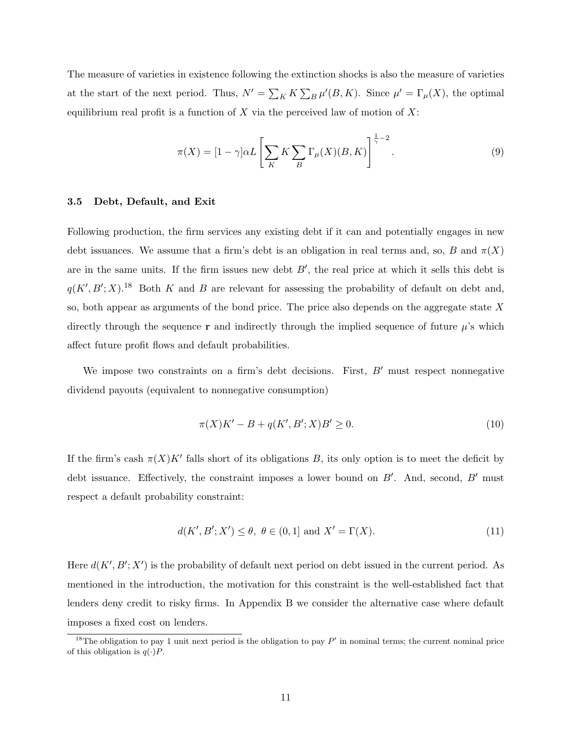The measure of varieties in existence following the extinction shocks is also the measure of varieties at the start of the next period. Thus,  $N' = \sum_{K} K \sum_{B} \mu'(B, K)$ . Since  $\mu' = \Gamma_{\mu}(X)$ , the optimal equilibrium real profit is a function of  $X$  via the perceived law of motion of  $X$ :

$$
\pi(X) = [1 - \gamma] \alpha L \left[ \sum_{K} K \sum_{B} \Gamma_{\mu}(X)(B, K) \right]^{\frac{1}{\gamma} - 2}.
$$
\n(9)

#### 3.5 Debt, Default, and Exit

Following production, the firm services any existing debt if it can and potentially engages in new debt issuances. We assume that a firm's debt is an obligation in real terms and, so, B and  $\pi(X)$ are in the same units. If the firm issues new debt  $B'$ , the real price at which it sells this debt is  $q(K', B'; X)$ .<sup>18</sup> Both K and B are relevant for assessing the probability of default on debt and, so, both appear as arguments of the bond price. The price also depends on the aggregate state X directly through the sequence r and indirectly through the implied sequence of future  $\mu$ 's which affect future profit flows and default probabilities.

We impose two constraints on a firm's debt decisions. First,  $B'$  must respect nonnegative dividend payouts (equivalent to nonnegative consumption)

$$
\pi(X)K' - B + q(K', B'; X)B' \ge 0.
$$
\n(10)

If the firm's cash  $\pi(X)K'$  falls short of its obligations B, its only option is to meet the deficit by debt issuance. Effectively, the constraint imposes a lower bound on  $B'$ . And, second,  $B'$  must respect a default probability constraint:

$$
d(K', B'; X') \le \theta, \ \theta \in (0, 1] \text{ and } X' = \Gamma(X). \tag{11}
$$

Here  $d(K', B'; X')$  is the probability of default next period on debt issued in the current period. As mentioned in the introduction, the motivation for this constraint is the well-established fact that lenders deny credit to risky firms. In Appendix B we consider the alternative case where default imposes a fixed cost on lenders.

<sup>&</sup>lt;sup>18</sup>The obligation to pay 1 unit next period is the obligation to pay  $P'$  in nominal terms; the current nominal price of this obligation is  $q(\cdot)P$ .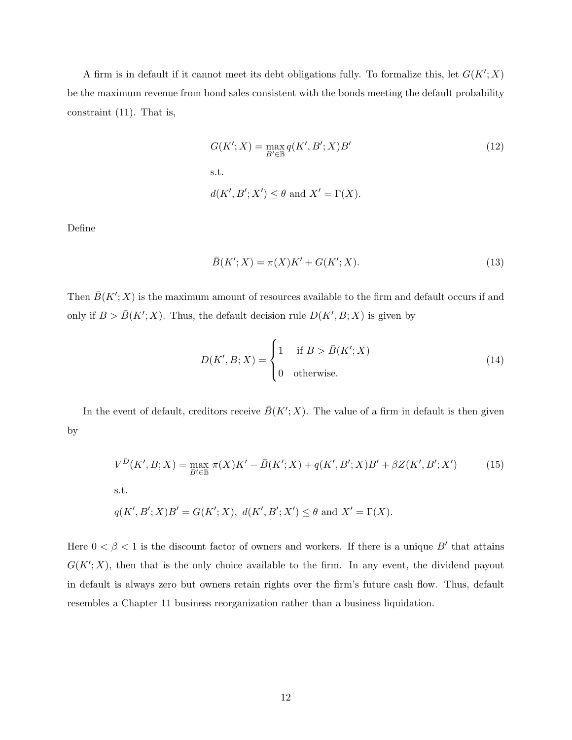A firm is in default if it cannot meet its debt obligations fully. To formalize this, let  $G(K';X)$ be the maximum revenue from bond sales consistent with the bonds meeting the default probability constraint (11). That is,

$$
G(K'; X) = \max_{B' \in \mathbb{B}} q(K', B'; X)B'
$$
  
s.t.  

$$
d(K', B'; X') \le \theta \text{ and } X' = \Gamma(X).
$$
 (12)

Define

$$
\bar{B}(K';X) = \pi(X)K' + G(K';X). \tag{13}
$$

Then  $\bar{B}(K';X)$  is the maximum amount of resources available to the firm and default occurs if and only if  $B > \bar{B}(K';X)$ . Thus, the default decision rule  $D(K',B;X)$  is given by

$$
D(K', B; X) = \begin{cases} 1 & \text{if } B > \bar{B}(K'; X) \\ 0 & \text{otherwise.} \end{cases}
$$
 (14)

In the event of default, creditors receive  $\bar{B}(K';X)$ . The value of a firm in default is then given by

$$
V^{D}(K', B; X) = \max_{B' \in \mathbb{B}} \pi(X)K' - \bar{B}(K'; X) + q(K', B'; X)B' + \beta Z(K', B'; X')
$$
(15)  
s.t.  

$$
q(K', B'; X)B' = G(K'; X), d(K', B'; X') \le \theta \text{ and } X' = \Gamma(X).
$$

Here  $0 < \beta < 1$  is the discount factor of owners and workers. If there is a unique B' that attains  $G(K';X)$ , then that is the only choice available to the firm. In any event, the dividend payout in default is always zero but owners retain rights over the firm's future cash flow. Thus, default resembles a Chapter 11 business reorganization rather than a business liquidation.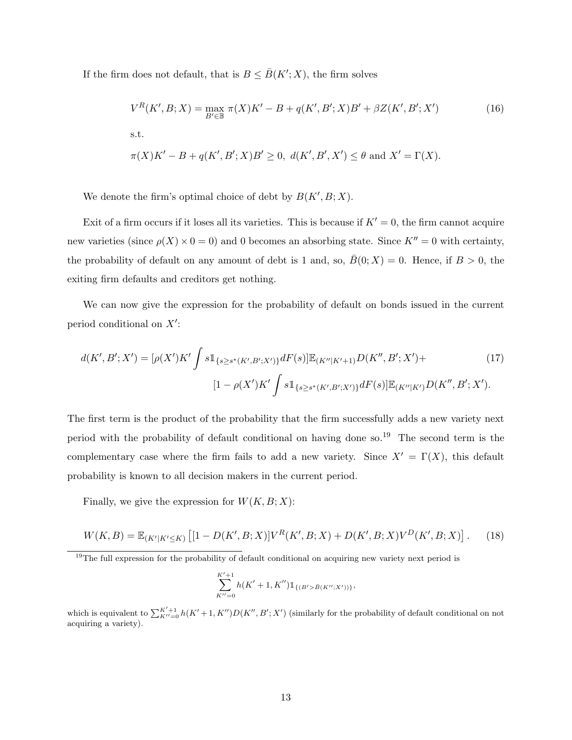If the firm does not default, that is  $B \leq \bar{B}(K';X)$ , the firm solves

$$
V^{R}(K', B; X) = \max_{B' \in \mathbb{B}} \pi(X)K' - B + q(K', B'; X)B' + \beta Z(K', B'; X')
$$
(16)  
s.t.  

$$
\pi(X)K' - B + q(K', B'; X)B' \ge 0, d(K', B', X') \le \theta \text{ and } X' = \Gamma(X).
$$

We denote the firm's optimal choice of debt by  $B(K', B; X)$ .

Exit of a firm occurs if it loses all its varieties. This is because if  $K' = 0$ , the firm cannot acquire new varieties (since  $\rho(X) \times 0 = 0$ ) and 0 becomes an absorbing state. Since  $K'' = 0$  with certainty, the probability of default on any amount of debt is 1 and, so,  $\bar{B}(0;X) = 0$ . Hence, if  $B > 0$ , the exiting firm defaults and creditors get nothing.

We can now give the expression for the probability of default on bonds issued in the current period conditional on  $X'$ :

$$
d(K', B'; X') = [\rho(X')K' \int s \mathbb{1}_{\{s \ge s^*(K', B'; X')\}} dF(s)] \mathbb{E}_{(K''|K'+1)} D(K'', B'; X') +
$$
  

$$
[1 - \rho(X')K' \int s \mathbb{1}_{\{s \ge s^*(K', B'; X')\}} dF(s)] \mathbb{E}_{(K''|K')} D(K'', B'; X').
$$
 (17)

The first term is the product of the probability that the firm successfully adds a new variety next period with the probability of default conditional on having done so.<sup>19</sup> The second term is the complementary case where the firm fails to add a new variety. Since  $X' = \Gamma(X)$ , this default probability is known to all decision makers in the current period.

Finally, we give the expression for  $W(K, B; X)$ :

$$
W(K, B) = \mathbb{E}_{(K'|K' \le K)} \left[ [1 - D(K', B; X)] V^R(K', B; X) + D(K', B; X) V^D(K', B; X) \right]. \tag{18}
$$

<sup>19</sup>The full expression for the probability of default conditional on acquiring new variety next period is

$$
\sum_{K''=0}^{K'+1} h(K'+1,K'') \mathbbm{1}_{\{(B'>\bar{B}(K'';X'))\}},
$$

which is equivalent to  $\sum_{K''=0}^{K'+1} h(K'+1, K'')D(K'', B'; X')$  (similarly for the probability of default conditional on not acquiring a variety).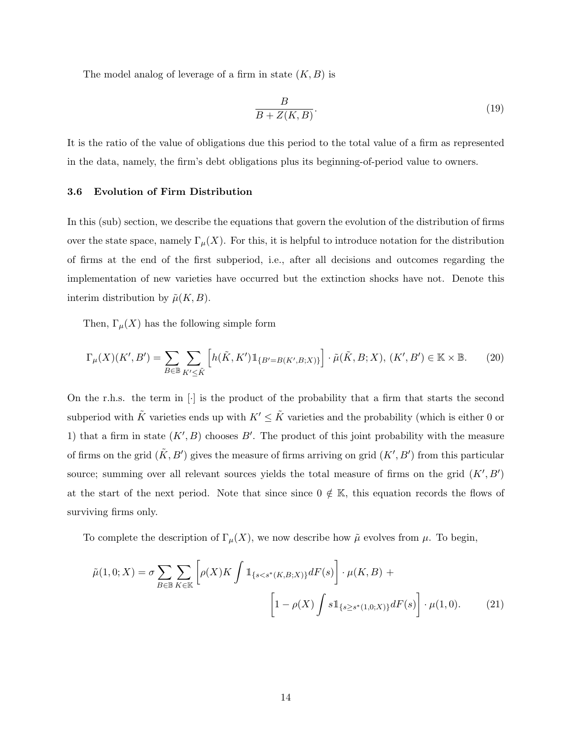The model analog of leverage of a firm in state  $(K, B)$  is

$$
\frac{B}{B + Z(K, B)}.\t(19)
$$

It is the ratio of the value of obligations due this period to the total value of a firm as represented in the data, namely, the firm's debt obligations plus its beginning-of-period value to owners.

#### 3.6 Evolution of Firm Distribution

In this (sub) section, we describe the equations that govern the evolution of the distribution of firms over the state space, namely  $\Gamma_{\mu}(X)$ . For this, it is helpful to introduce notation for the distribution of firms at the end of the first subperiod, i.e., after all decisions and outcomes regarding the implementation of new varieties have occurred but the extinction shocks have not. Denote this interim distribution by  $\tilde{\mu}(K, B)$ .

Then,  $\Gamma_{\mu}(X)$  has the following simple form

$$
\Gamma_{\mu}(X)(K',B') = \sum_{B \in \mathbb{B}} \sum_{K' \leq \tilde{K}} \left[ h(\tilde{K},K') \mathbb{1}_{\{B' = B(K',B;X)\}} \right] \cdot \tilde{\mu}(\tilde{K},B;X), (K',B') \in \mathbb{K} \times \mathbb{B}.
$$
 (20)

On the r.h.s. the term in [·] is the product of the probability that a firm that starts the second subperiod with  $\tilde{K}$  varieties ends up with  $K' \leq \tilde{K}$  varieties and the probability (which is either 0 or 1) that a firm in state  $(K', B)$  chooses B'. The product of this joint probability with the measure of firms on the grid  $(\tilde{K}, B')$  gives the measure of firms arriving on grid  $(K', B')$  from this particular source; summing over all relevant sources yields the total measure of firms on the grid  $(K', B')$ at the start of the next period. Note that since since  $0 \notin K$ , this equation records the flows of surviving firms only.

To complete the description of  $\Gamma_{\mu}(X)$ , we now describe how  $\tilde{\mu}$  evolves from  $\mu$ . To begin,

$$
\tilde{\mu}(1,0;X) = \sigma \sum_{B \in \mathbb{B}} \sum_{K \in \mathbb{K}} \left[ \rho(X)K \int \mathbb{1}_{\{s < s^*(K,B;X)\}} dF(s) \right] \cdot \mu(K,B) + \left[ 1 - \rho(X) \int s \mathbb{1}_{\{s \ge s^*(1,0;X)\}} dF(s) \right] \cdot \mu(1,0). \tag{21}
$$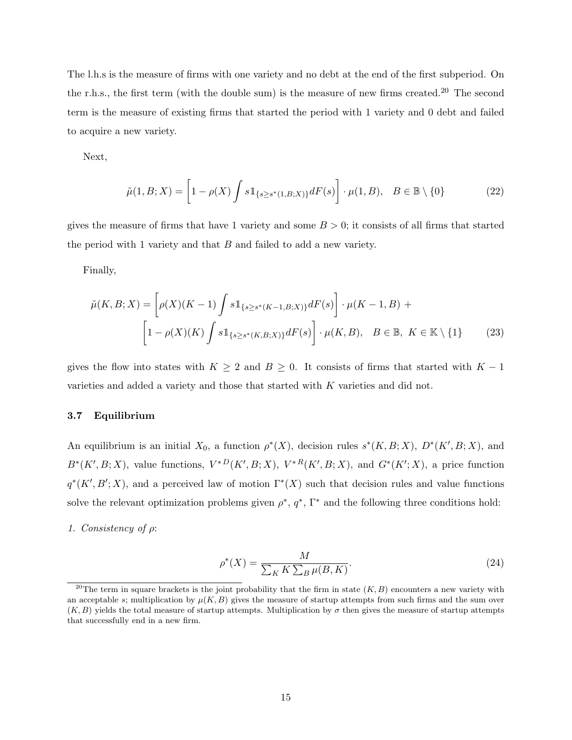The l.h.s is the measure of firms with one variety and no debt at the end of the first subperiod. On the r.h.s., the first term (with the double sum) is the measure of new firms created.<sup>20</sup> The second term is the measure of existing firms that started the period with 1 variety and 0 debt and failed to acquire a new variety.

Next,

$$
\tilde{\mu}(1, B; X) = \left[1 - \rho(X) \int s \mathbb{1}_{\{s \ge s^*(1, B; X)\}} dF(s)\right] \cdot \mu(1, B), \quad B \in \mathbb{B} \setminus \{0\} \tag{22}
$$

gives the measure of firms that have 1 variety and some  $B > 0$ ; it consists of all firms that started the period with 1 variety and that B and failed to add a new variety.

Finally,

$$
\tilde{\mu}(K, B; X) = \left[\rho(X)(K-1) \int s \mathbb{1}_{\{s \ge s^*(K-1, B; X)\}} dF(s)\right] \cdot \mu(K-1, B) + \left[1 - \rho(X)(K) \int s \mathbb{1}_{\{s \ge s^*(K, B; X)\}} dF(s)\right] \cdot \mu(K, B), \quad B \in \mathbb{B}, \ K \in \mathbb{K} \setminus \{1\} \tag{23}
$$

gives the flow into states with  $K \geq 2$  and  $B \geq 0$ . It consists of firms that started with  $K - 1$ varieties and added a variety and those that started with K varieties and did not.

#### 3.7 Equilibrium

An equilibrium is an initial  $X_0$ , a function  $\rho^*(X)$ , decision rules  $s^*(K, B; X)$ ,  $D^*(K', B; X)$ , and  $B^*(K', B; X)$ , value functions,  $V^{*D}(K', B; X)$ ,  $V^{*R}(K', B; X)$ , and  $G^*(K'; X)$ , a price function  $q^*(K', B'; X)$ , and a perceived law of motion  $\Gamma^*(X)$  such that decision rules and value functions solve the relevant optimization problems given  $\rho^*, q^*, \Gamma^*$  and the following three conditions hold:

#### 1. Consistency of ρ:

$$
\rho^*(X) = \frac{M}{\sum_K K \sum_B \mu(B, K)}.\tag{24}
$$

<sup>&</sup>lt;sup>20</sup>The term in square brackets is the joint probability that the firm in state  $(K, B)$  encounters a new variety with an acceptable s; multiplication by  $\mu(K, B)$  gives the measure of startup attempts from such firms and the sum over  $(K, B)$  yields the total measure of startup attempts. Multiplication by  $\sigma$  then gives the measure of startup attempts that successfully end in a new firm.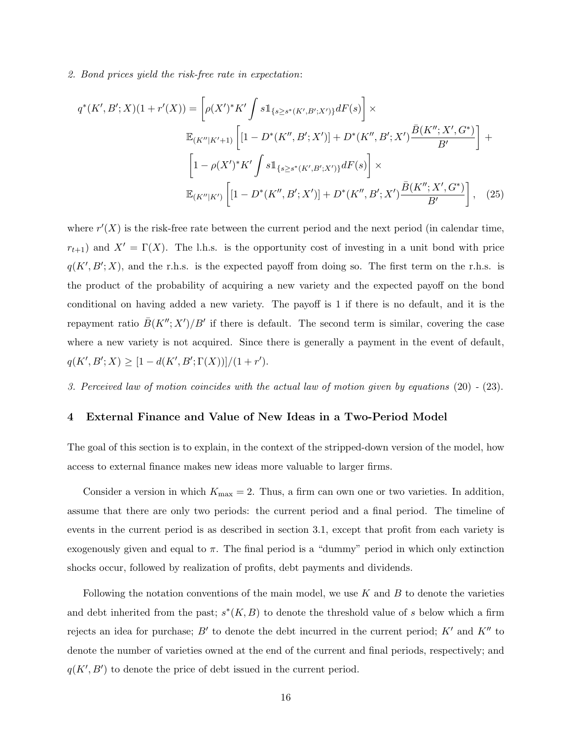#### 2. Bond prices yield the risk-free rate in expectation:

$$
q^*(K', B'; X)(1 + r'(X)) = \left[\rho(X')^* K' \int s \mathbb{1}_{\{s \ge s^*(K', B'; X')\}} dF(s)\right] \times
$$
  

$$
\mathbb{E}_{(K''|K'+1)} \left[ [1 - D^*(K'', B'; X')] + D^*(K'', B'; X') \frac{\bar{B}(K''; X', G^*)}{B'} \right] +
$$
  

$$
\left[ 1 - \rho(X')^* K' \int s \mathbb{1}_{\{s \ge s^*(K', B'; X')\}} dF(s) \right] \times
$$
  

$$
\mathbb{E}_{(K''|K')} \left[ [1 - D^*(K'', B'; X')] + D^*(K'', B'; X') \frac{\bar{B}(K''; X', G^*)}{B'} \right], \quad (25)
$$

where  $r'(X)$  is the risk-free rate between the current period and the next period (in calendar time,  $r_{t+1}$ ) and  $X' = \Gamma(X)$ . The l.h.s. is the opportunity cost of investing in a unit bond with price  $q(K', B'; X)$ , and the r.h.s. is the expected payoff from doing so. The first term on the r.h.s. is the product of the probability of acquiring a new variety and the expected payoff on the bond conditional on having added a new variety. The payoff is 1 if there is no default, and it is the repayment ratio  $\bar{B}(K''; X')/B'$  if there is default. The second term is similar, covering the case where a new variety is not acquired. Since there is generally a payment in the event of default,  $q(K', B'; X) \geq [1 - d(K', B'; \Gamma(X))]/(1 + r').$ 

3. Perceived law of motion coincides with the actual law of motion given by equations (20) - (23).

#### 4 External Finance and Value of New Ideas in a Two-Period Model

The goal of this section is to explain, in the context of the stripped-down version of the model, how access to external finance makes new ideas more valuable to larger firms.

Consider a version in which  $K_{\text{max}} = 2$ . Thus, a firm can own one or two varieties. In addition, assume that there are only two periods: the current period and a final period. The timeline of events in the current period is as described in section 3.1, except that profit from each variety is exogenously given and equal to  $\pi$ . The final period is a "dummy" period in which only extinction shocks occur, followed by realization of profits, debt payments and dividends.

Following the notation conventions of the main model, we use  $K$  and  $B$  to denote the varieties and debt inherited from the past;  $s^*(K, B)$  to denote the threshold value of s below which a firm rejects an idea for purchase;  $B'$  to denote the debt incurred in the current period;  $K'$  and  $K''$  to denote the number of varieties owned at the end of the current and final periods, respectively; and  $q(K', B')$  to denote the price of debt issued in the current period.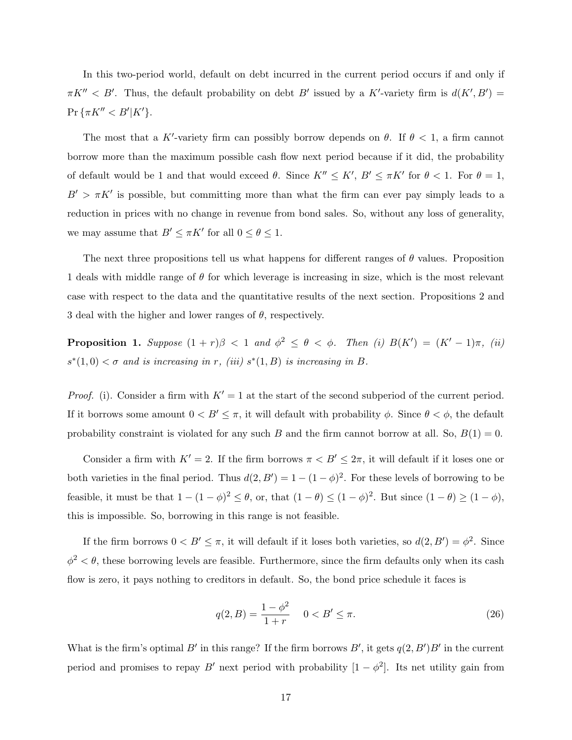In this two-period world, default on debt incurred in the current period occurs if and only if  $\pi K'' < B'$ . Thus, the default probability on debt B' issued by a K'-variety firm is  $d(K', B') =$  $\Pr \{ \pi K'' < B' | K' \}.$ 

The most that a K'-variety firm can possibly borrow depends on  $\theta$ . If  $\theta < 1$ , a firm cannot borrow more than the maximum possible cash flow next period because if it did, the probability of default would be 1 and that would exceed  $\theta$ . Since  $K'' \leq K'$ ,  $B' \leq \pi K'$  for  $\theta < 1$ . For  $\theta = 1$ ,  $B' > \pi K'$  is possible, but committing more than what the firm can ever pay simply leads to a reduction in prices with no change in revenue from bond sales. So, without any loss of generality, we may assume that  $B' \leq \pi K'$  for all  $0 \leq \theta \leq 1$ .

The next three propositions tell us what happens for different ranges of  $\theta$  values. Proposition 1 deals with middle range of  $\theta$  for which leverage is increasing in size, which is the most relevant case with respect to the data and the quantitative results of the next section. Propositions 2 and 3 deal with the higher and lower ranges of  $\theta$ , respectively.

**Proposition 1.** Suppose  $(1 + r)\beta < 1$  and  $\phi^2 \leq \theta < \phi$ . Then (i)  $B(K') = (K' - 1)\pi$ , (ii)  $s^*(1,0) < \sigma$  and is increasing in r, (iii)  $s^*(1,B)$  is increasing in B.

*Proof.* (i). Consider a firm with  $K' = 1$  at the start of the second subperiod of the current period. If it borrows some amount  $0 < B' \leq \pi$ , it will default with probability  $\phi$ . Since  $\theta < \phi$ , the default probability constraint is violated for any such B and the firm cannot borrow at all. So,  $B(1) = 0$ .

Consider a firm with  $K' = 2$ . If the firm borrows  $\pi < B' \leq 2\pi$ , it will default if it loses one or both varieties in the final period. Thus  $d(2, B') = 1 - (1 - \phi)^2$ . For these levels of borrowing to be feasible, it must be that  $1 - (1 - \phi)^2 \le \theta$ , or, that  $(1 - \theta) \le (1 - \phi)^2$ . But since  $(1 - \theta) \ge (1 - \phi)$ , this is impossible. So, borrowing in this range is not feasible.

If the firm borrows  $0 < B' \leq \pi$ , it will default if it loses both varieties, so  $d(2, B') = \phi^2$ . Since  $\phi^2 < \theta$ , these borrowing levels are feasible. Furthermore, since the firm defaults only when its cash flow is zero, it pays nothing to creditors in default. So, the bond price schedule it faces is

$$
q(2, B) = \frac{1 - \phi^2}{1 + r} \quad 0 < B' \le \pi. \tag{26}
$$

What is the firm's optimal B' in this range? If the firm borrows B', it gets  $q(2, B')B'$  in the current period and promises to repay B' next period with probability  $[1 - \phi^2]$ . Its net utility gain from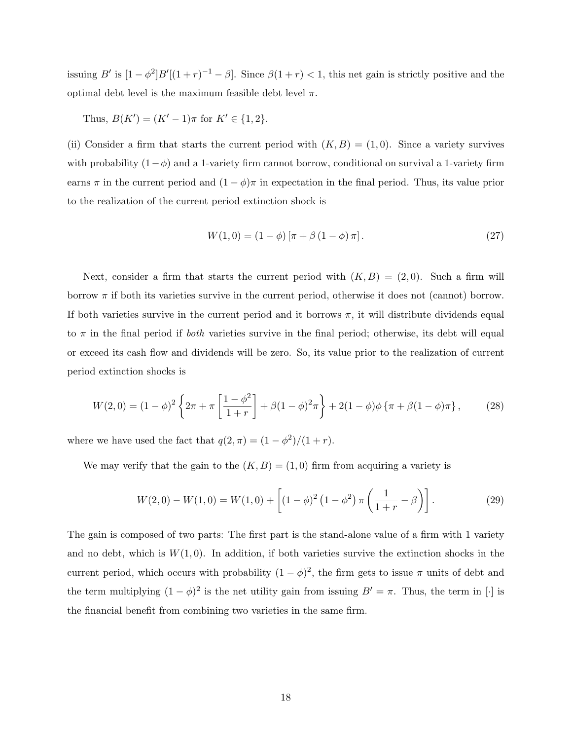issuing B' is  $[1 - \phi^2]B'[(1+r)^{-1} - \beta]$ . Since  $\beta(1+r) < 1$ , this net gain is strictly positive and the optimal debt level is the maximum feasible debt level  $\pi$ .

Thus,  $B(K') = (K' - 1)\pi$  for  $K' \in \{1, 2\}.$ 

(ii) Consider a firm that starts the current period with  $(K, B) = (1, 0)$ . Since a variety survives with probability  $(1-\phi)$  and a 1-variety firm cannot borrow, conditional on survival a 1-variety firm earns  $\pi$  in the current period and  $(1 - \phi)\pi$  in expectation in the final period. Thus, its value prior to the realization of the current period extinction shock is

$$
W(1,0) = (1 - \phi) [\pi + \beta (1 - \phi) \pi].
$$
 (27)

Next, consider a firm that starts the current period with  $(K, B) = (2, 0)$ . Such a firm will borrow  $\pi$  if both its varieties survive in the current period, otherwise it does not (cannot) borrow. If both varieties survive in the current period and it borrows  $\pi$ , it will distribute dividends equal to  $\pi$  in the final period if *both* varieties survive in the final period; otherwise, its debt will equal or exceed its cash flow and dividends will be zero. So, its value prior to the realization of current period extinction shocks is

$$
W(2,0) = (1 - \phi)^2 \left\{ 2\pi + \pi \left[ \frac{1 - \phi^2}{1 + r} \right] + \beta (1 - \phi)^2 \pi \right\} + 2(1 - \phi)\phi \left\{ \pi + \beta (1 - \phi)\pi \right\},\tag{28}
$$

where we have used the fact that  $q(2, \pi) = (1 - \phi^2)/(1 + r)$ .

We may verify that the gain to the  $(K, B) = (1, 0)$  firm from acquiring a variety is

$$
W(2,0) - W(1,0) = W(1,0) + \left[ (1 - \phi)^2 (1 - \phi^2) \pi \left( \frac{1}{1+r} - \beta \right) \right].
$$
 (29)

The gain is composed of two parts: The first part is the stand-alone value of a firm with 1 variety and no debt, which is  $W(1,0)$ . In addition, if both varieties survive the extinction shocks in the current period, which occurs with probability  $(1 - \phi)^2$ , the firm gets to issue  $\pi$  units of debt and the term multiplying  $(1 - \phi)^2$  is the net utility gain from issuing  $B' = \pi$ . Thus, the term in [·] is the financial benefit from combining two varieties in the same firm.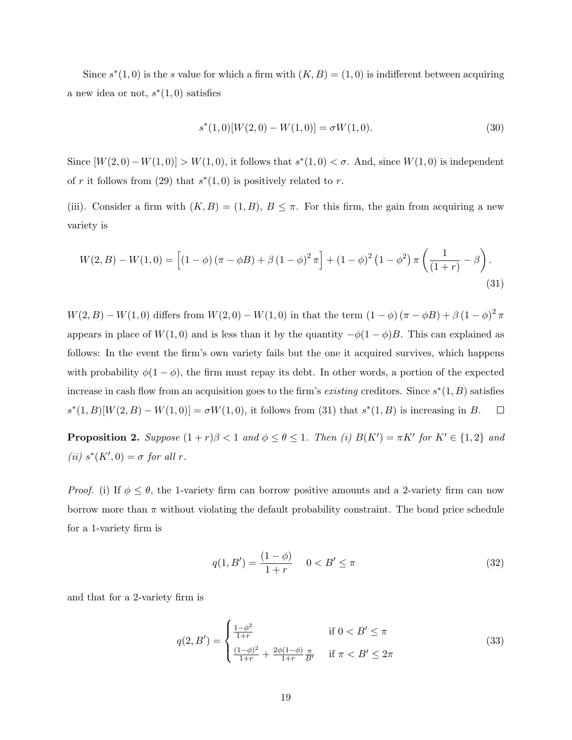Since  $s^*(1,0)$  is the s value for which a firm with  $(K, B) = (1,0)$  is indifferent between acquiring a new idea or not,  $s^*(1,0)$  satisfies

$$
s^*(1,0)[W(2,0) - W(1,0)] = \sigma W(1,0).
$$
\n(30)

Since  $[W(2,0)-W(1,0)] > W(1,0)$ , it follows that  $s^*(1,0) < \sigma$ . And, since  $W(1,0)$  is independent of r it follows from (29) that  $s^*(1,0)$  is positively related to r.

(iii). Consider a firm with  $(K, B) = (1, B), B \leq \pi$ . For this firm, the gain from acquiring a new variety is

$$
W(2, B) - W(1, 0) = \left[ (1 - \phi) \left( \pi - \phi B \right) + \beta \left( 1 - \phi \right)^2 \pi \right] + (1 - \phi)^2 \left( 1 - \phi^2 \right) \pi \left( \frac{1}{(1 + r)} - \beta \right). \tag{31}
$$

 $W(2, B) - W(1, 0)$  differs from  $W(2, 0) - W(1, 0)$  in that the term  $(1 - \phi)(\pi - \phi B) + \beta (1 - \phi)^2 \pi$ appears in place of  $W(1,0)$  and is less than it by the quantity  $-\phi(1-\phi)B$ . This can explained as follows: In the event the firm's own variety fails but the one it acquired survives, which happens with probability  $\phi(1-\phi)$ , the firm must repay its debt. In other words, a portion of the expected increase in cash flow from an acquisition goes to the firm's *existing* creditors. Since  $s^*(1, B)$  satisfies  $s^*(1, B)[W(2, B) - W(1, 0)] = \sigma W(1, 0)$ , it follows from (31) that  $s^*(1, B)$  is increasing in B.  $\Box$ 

**Proposition 2.** Suppose  $(1+r)\beta < 1$  and  $\phi \le \theta \le 1$ . Then (i)  $B(K') = \pi K'$  for  $K' \in \{1,2\}$  and (ii)  $s^*(K',0) = \sigma$  for all r.

*Proof.* (i) If  $\phi \leq \theta$ , the 1-variety firm can borrow positive amounts and a 2-variety firm can now borrow more than  $\pi$  without violating the default probability constraint. The bond price schedule for a 1-variety firm is

$$
q(1, B') = \frac{(1 - \phi)}{1 + r} \quad 0 < B' \le \pi \tag{32}
$$

and that for a 2-variety firm is

$$
q(2, B') = \begin{cases} \frac{1 - \phi^2}{1 + r} & \text{if } 0 < B' \le \pi \\ \frac{(1 - \phi)^2}{1 + r} + \frac{2\phi(1 - \phi)}{1 + r} \frac{\pi}{B'} & \text{if } \pi < B' \le 2\pi \end{cases} \tag{33}
$$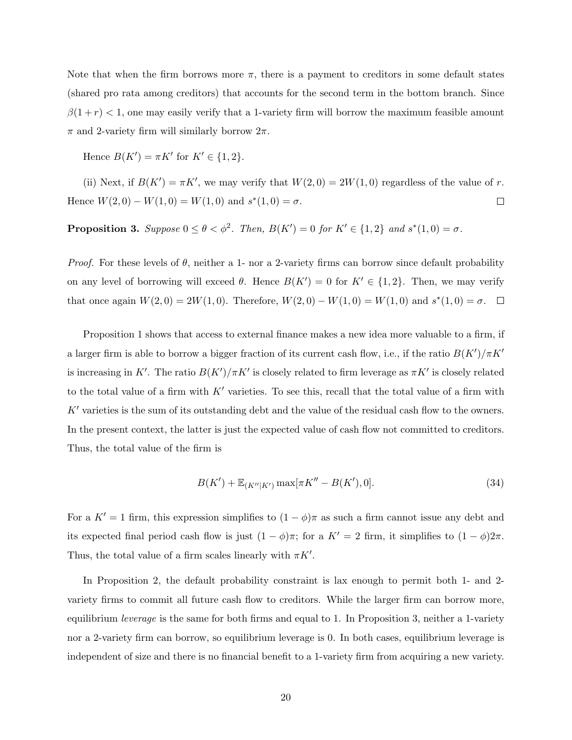Note that when the firm borrows more  $\pi$ , there is a payment to creditors in some default states (shared pro rata among creditors) that accounts for the second term in the bottom branch. Since  $\beta(1+r)$  < 1, one may easily verify that a 1-variety firm will borrow the maximum feasible amount  $\pi$  and 2-variety firm will similarly borrow  $2\pi$ .

Hence  $B(K') = \pi K'$  for  $K' \in \{1, 2\}.$ 

(ii) Next, if  $B(K') = \pi K'$ , we may verify that  $W(2,0) = 2W(1,0)$  regardless of the value of r. Hence  $W(2,0) - W(1,0) = W(1,0)$  and  $s^*(1,0) = \sigma$ .  $\Box$ 

**Proposition 3.** Suppose  $0 \le \theta < \phi^2$ . Then,  $B(K') = 0$  for  $K' \in \{1,2\}$  and  $s^*(1,0) = \sigma$ .

*Proof.* For these levels of  $\theta$ , neither a 1- nor a 2-variety firms can borrow since default probability on any level of borrowing will exceed  $\theta$ . Hence  $B(K') = 0$  for  $K' \in \{1,2\}$ . Then, we may verify that once again  $W(2,0) = 2W(1,0)$ . Therefore,  $W(2,0) - W(1,0) = W(1,0)$  and  $s^*(1,0) = \sigma$ .

Proposition 1 shows that access to external finance makes a new idea more valuable to a firm, if a larger firm is able to borrow a bigger fraction of its current cash flow, i.e., if the ratio  $B(K')/\pi K'$ is increasing in K'. The ratio  $B(K')/\pi K'$  is closely related to firm leverage as  $\pi K'$  is closely related to the total value of a firm with  $K'$  varieties. To see this, recall that the total value of a firm with  $K'$  varieties is the sum of its outstanding debt and the value of the residual cash flow to the owners. In the present context, the latter is just the expected value of cash flow not committed to creditors. Thus, the total value of the firm is

$$
B(K') + \mathbb{E}_{(K''|K')} \max[\pi K'' - B(K'), 0].
$$
\n(34)

For a  $K' = 1$  firm, this expression simplifies to  $(1 - \phi)\pi$  as such a firm cannot issue any debt and its expected final period cash flow is just  $(1 - \phi)\pi$ ; for a  $K' = 2$  firm, it simplifies to  $(1 - \phi)2\pi$ . Thus, the total value of a firm scales linearly with  $\pi K'$ .

In Proposition 2, the default probability constraint is lax enough to permit both 1- and 2 variety firms to commit all future cash flow to creditors. While the larger firm can borrow more, equilibrium *leverage* is the same for both firms and equal to 1. In Proposition 3, neither a 1-variety nor a 2-variety firm can borrow, so equilibrium leverage is 0. In both cases, equilibrium leverage is independent of size and there is no financial benefit to a 1-variety firm from acquiring a new variety.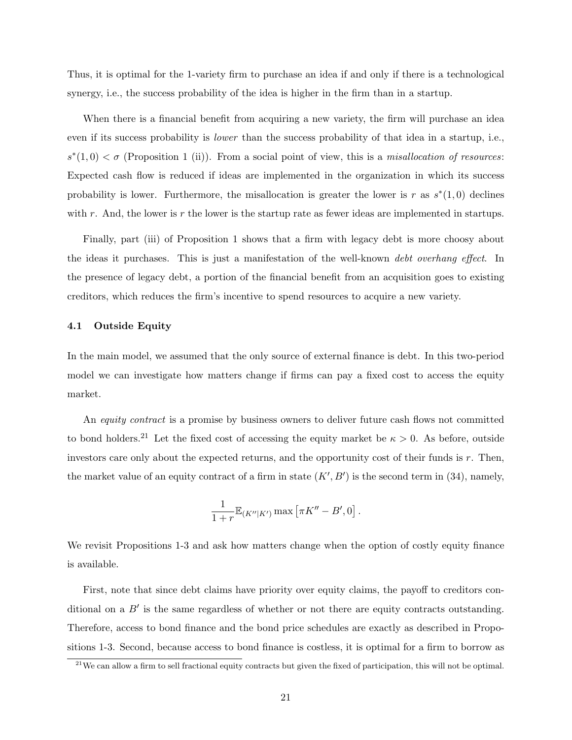Thus, it is optimal for the 1-variety firm to purchase an idea if and only if there is a technological synergy, i.e., the success probability of the idea is higher in the firm than in a startup.

When there is a financial benefit from acquiring a new variety, the firm will purchase an idea even if its success probability is *lower* than the success probability of that idea in a startup, i.e.,  $s^*(1,0) < \sigma$  (Proposition 1 (ii)). From a social point of view, this is a *misallocation of resources*: Expected cash flow is reduced if ideas are implemented in the organization in which its success probability is lower. Furthermore, the misallocation is greater the lower is r as  $s^*(1,0)$  declines with r. And, the lower is r the lower is the startup rate as fewer ideas are implemented in startups.

Finally, part (iii) of Proposition 1 shows that a firm with legacy debt is more choosy about the ideas it purchases. This is just a manifestation of the well-known debt overhang effect. In the presence of legacy debt, a portion of the financial benefit from an acquisition goes to existing creditors, which reduces the firm's incentive to spend resources to acquire a new variety.

#### 4.1 Outside Equity

In the main model, we assumed that the only source of external finance is debt. In this two-period model we can investigate how matters change if firms can pay a fixed cost to access the equity market.

An *equity contract* is a promise by business owners to deliver future cash flows not committed to bond holders.<sup>21</sup> Let the fixed cost of accessing the equity market be  $\kappa > 0$ . As before, outside investors care only about the expected returns, and the opportunity cost of their funds is  $r$ . Then, the market value of an equity contract of a firm in state  $(K', B')$  is the second term in (34), namely,

$$
\frac{1}{1+r} \mathbb{E}_{(K''|K')} \max \left[ \pi K'' - B', 0 \right].
$$

We revisit Propositions 1-3 and ask how matters change when the option of costly equity finance is available.

First, note that since debt claims have priority over equity claims, the payoff to creditors conditional on a  $B'$  is the same regardless of whether or not there are equity contracts outstanding. Therefore, access to bond finance and the bond price schedules are exactly as described in Propositions 1-3. Second, because access to bond finance is costless, it is optimal for a firm to borrow as

 $21$ We can allow a firm to sell fractional equity contracts but given the fixed of participation, this will not be optimal.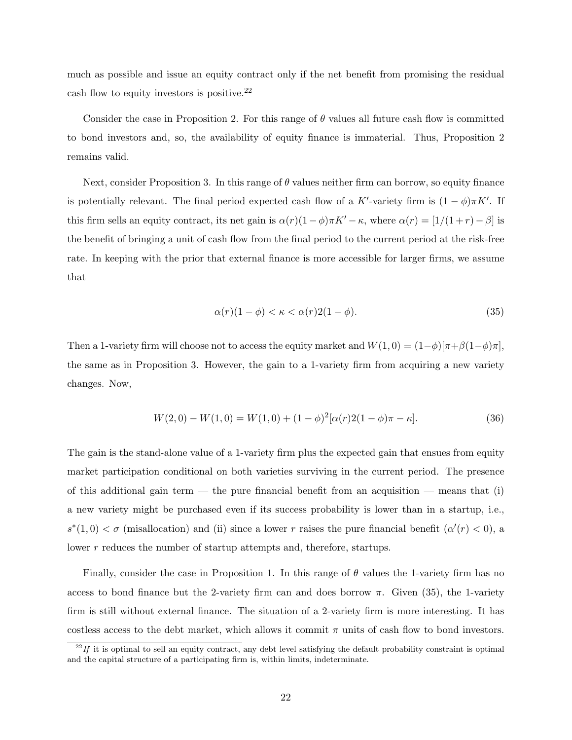much as possible and issue an equity contract only if the net benefit from promising the residual cash flow to equity investors is positive.<sup>22</sup>

Consider the case in Proposition 2. For this range of  $\theta$  values all future cash flow is committed to bond investors and, so, the availability of equity finance is immaterial. Thus, Proposition 2 remains valid.

Next, consider Proposition 3. In this range of  $\theta$  values neither firm can borrow, so equity finance is potentially relevant. The final period expected cash flow of a K'-variety firm is  $(1 - \phi)\pi K'$ . If this firm sells an equity contract, its net gain is  $\alpha(r)(1-\phi)\pi K' - \kappa$ , where  $\alpha(r) = [1/(1+r)-\beta]$  is the benefit of bringing a unit of cash flow from the final period to the current period at the risk-free rate. In keeping with the prior that external finance is more accessible for larger firms, we assume that

$$
\alpha(r)(1-\phi) < \kappa < \alpha(r)2(1-\phi). \tag{35}
$$

Then a 1-variety firm will choose not to access the equity market and  $W(1, 0) = (1 - \phi)[\pi + \beta(1 - \phi)\pi]$ , the same as in Proposition 3. However, the gain to a 1-variety firm from acquiring a new variety changes. Now,

$$
W(2,0) - W(1,0) = W(1,0) + (1 - \phi)^2 [\alpha(r)2(1 - \phi)\pi - \kappa].
$$
\n(36)

The gain is the stand-alone value of a 1-variety firm plus the expected gain that ensues from equity market participation conditional on both varieties surviving in the current period. The presence of this additional gain term — the pure financial benefit from an acquisition — means that  $(i)$ a new variety might be purchased even if its success probability is lower than in a startup, i.e.,  $s^*(1,0) < \sigma$  (misallocation) and (ii) since a lower r raises the pure financial benefit  $(\alpha'(r) < 0)$ , a lower r reduces the number of startup attempts and, therefore, startups.

Finally, consider the case in Proposition 1. In this range of  $\theta$  values the 1-variety firm has no access to bond finance but the 2-variety firm can and does borrow  $\pi$ . Given (35), the 1-variety firm is still without external finance. The situation of a 2-variety firm is more interesting. It has costless access to the debt market, which allows it commit  $\pi$  units of cash flow to bond investors.

 $^{22}$ If it is optimal to sell an equity contract, any debt level satisfying the default probability constraint is optimal and the capital structure of a participating firm is, within limits, indeterminate.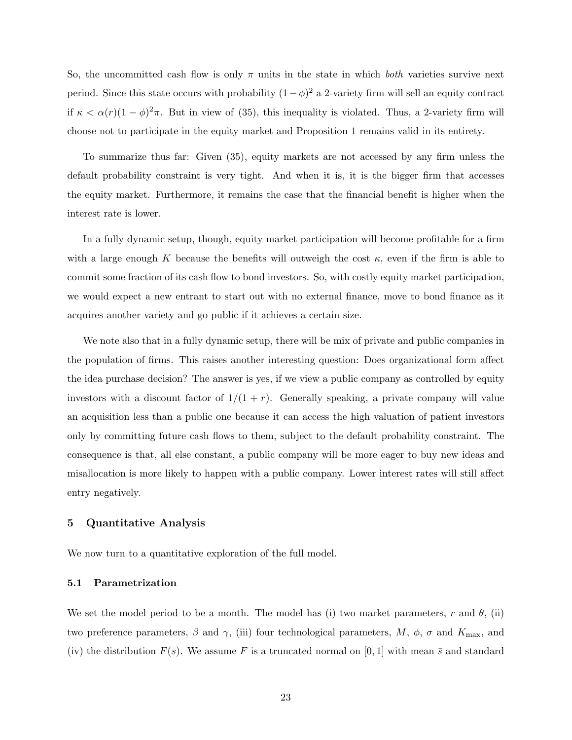So, the uncommitted cash flow is only  $\pi$  units in the state in which both varieties survive next period. Since this state occurs with probability  $(1 - \phi)^2$  a 2-variety firm will sell an equity contract if  $\kappa < \alpha(r)(1-\phi)^2\pi$ . But in view of (35), this inequality is violated. Thus, a 2-variety firm will choose not to participate in the equity market and Proposition 1 remains valid in its entirety.

To summarize thus far: Given (35), equity markets are not accessed by any firm unless the default probability constraint is very tight. And when it is, it is the bigger firm that accesses the equity market. Furthermore, it remains the case that the financial benefit is higher when the interest rate is lower.

In a fully dynamic setup, though, equity market participation will become profitable for a firm with a large enough K because the benefits will outweigh the cost  $\kappa$ , even if the firm is able to commit some fraction of its cash flow to bond investors. So, with costly equity market participation, we would expect a new entrant to start out with no external finance, move to bond finance as it acquires another variety and go public if it achieves a certain size.

We note also that in a fully dynamic setup, there will be mix of private and public companies in the population of firms. This raises another interesting question: Does organizational form affect the idea purchase decision? The answer is yes, if we view a public company as controlled by equity investors with a discount factor of  $1/(1 + r)$ . Generally speaking, a private company will value an acquisition less than a public one because it can access the high valuation of patient investors only by committing future cash flows to them, subject to the default probability constraint. The consequence is that, all else constant, a public company will be more eager to buy new ideas and misallocation is more likely to happen with a public company. Lower interest rates will still affect entry negatively.

#### 5 Quantitative Analysis

We now turn to a quantitative exploration of the full model.

#### 5.1 Parametrization

We set the model period to be a month. The model has (i) two market parameters, r and  $\theta$ , (ii) two preference parameters,  $\beta$  and  $\gamma$ , (iii) four technological parameters,  $M$ ,  $\phi$ ,  $\sigma$  and  $K_{\text{max}}$ , and (iv) the distribution  $F(s)$ . We assume F is a truncated normal on [0, 1] with mean  $\bar{s}$  and standard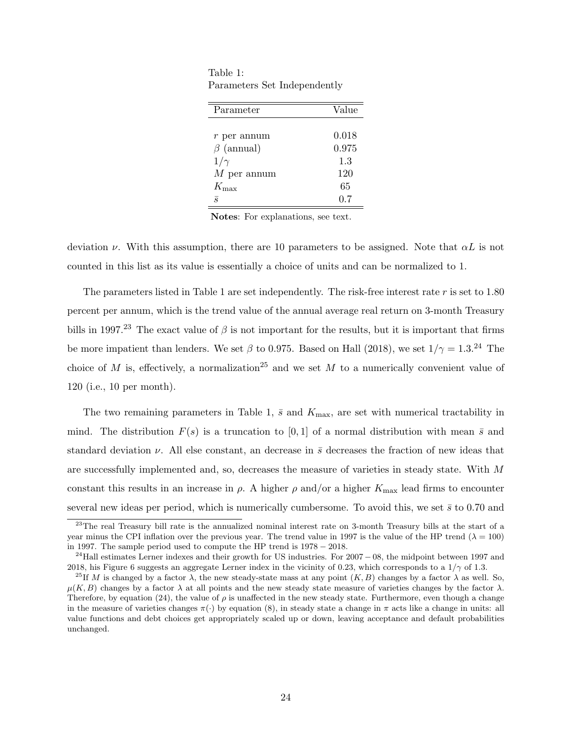Table 1: Parameters Set Independently

| Parameter        | Value |
|------------------|-------|
|                  |       |
| $r$ per annum    | 0.018 |
| $\beta$ (annual) | 0.975 |
| $1/\gamma$       | 1.3   |
| $M$ per annum    | 120   |
| $K_{\rm max}$    | 65    |
| $\overline{s}$   | 0.7   |

Notes: For explanations, see text.

deviation  $\nu$ . With this assumption, there are 10 parameters to be assigned. Note that  $\alpha L$  is not counted in this list as its value is essentially a choice of units and can be normalized to 1.

The parameters listed in Table 1 are set independently. The risk-free interest rate  $r$  is set to 1.80 percent per annum, which is the trend value of the annual average real return on 3-month Treasury bills in 1997.<sup>23</sup> The exact value of  $\beta$  is not important for the results, but it is important that firms be more impatient than lenders. We set  $\beta$  to 0.975. Based on Hall (2018), we set  $1/\gamma = 1.3^{24}$  The choice of M is, effectively, a normalization<sup>25</sup> and we set M to a numerically convenient value of 120 (i.e., 10 per month).

The two remaining parameters in Table 1,  $\bar{s}$  and  $K_{\text{max}}$ , are set with numerical tractability in mind. The distribution  $F(s)$  is a truncation to [0,1] of a normal distribution with mean  $\bar{s}$  and standard deviation  $\nu$ . All else constant, an decrease in  $\bar{s}$  decreases the fraction of new ideas that are successfully implemented and, so, decreases the measure of varieties in steady state. With M constant this results in an increase in  $\rho$ . A higher  $\rho$  and/or a higher  $K_{\text{max}}$  lead firms to encounter several new ideas per period, which is numerically cumbersome. To avoid this, we set  $\bar{s}$  to 0.70 and

<sup>&</sup>lt;sup>23</sup>The real Treasury bill rate is the annualized nominal interest rate on 3-month Treasury bills at the start of a year minus the CPI inflation over the previous year. The trend value in 1997 is the value of the HP trend ( $\lambda = 100$ ) in 1997. The sample period used to compute the HP trend is 1978 − 2018.

<sup>&</sup>lt;sup>24</sup>Hall estimates Lerner indexes and their growth for US industries. For  $2007 - 08$ , the midpoint between 1997 and 2018, his Figure 6 suggests an aggregate Lerner index in the vicinity of 0.23, which corresponds to a  $1/\gamma$  of 1.3.

<sup>&</sup>lt;sup>25</sup>If M is changed by a factor  $\lambda$ , the new steady-state mass at any point  $(K, B)$  changes by a factor  $\lambda$  as well. So,  $\mu(K, B)$  changes by a factor  $\lambda$  at all points and the new steady state measure of varieties changes by the factor  $\lambda$ . Therefore, by equation (24), the value of  $\rho$  is unaffected in the new steady state. Furthermore, even though a change in the measure of varieties changes  $\pi(\cdot)$  by equation (8), in steady state a change in  $\pi$  acts like a change in units: all value functions and debt choices get appropriately scaled up or down, leaving acceptance and default probabilities unchanged.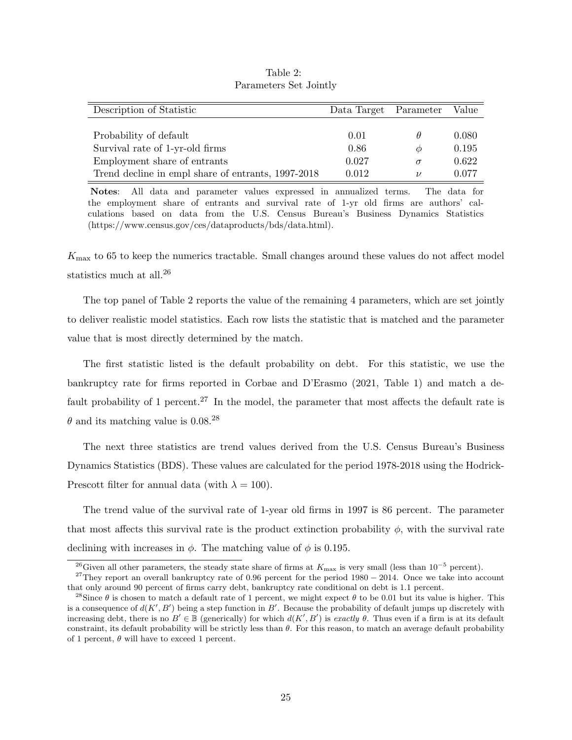| Description of Statistic                           | Data Target Parameter |           | Value |
|----------------------------------------------------|-----------------------|-----------|-------|
|                                                    |                       |           |       |
| Probability of default                             | 0.01                  | Η         | 0.080 |
| Survival rate of 1-yr-old firms                    | 0.86                  | $\varphi$ | 0.195 |
| Employment share of entrants                       | 0.027                 | $\sigma$  | 0.622 |
| Trend decline in empl share of entrants, 1997-2018 | 0.012                 | $\nu$     | 0.077 |

Table 2: Parameters Set Jointly

Notes: All data and parameter values expressed in annualized terms. The data for the employment share of entrants and survival rate of 1-yr old firms are authors' calculations based on data from the U.S. Census Bureau's Business Dynamics Statistics (https://www.census.gov/ces/dataproducts/bds/data.html).

 $K_{\text{max}}$  to 65 to keep the numerics tractable. Small changes around these values do not affect model statistics much at all.<sup>26</sup>

The top panel of Table 2 reports the value of the remaining 4 parameters, which are set jointly to deliver realistic model statistics. Each row lists the statistic that is matched and the parameter value that is most directly determined by the match.

The first statistic listed is the default probability on debt. For this statistic, we use the bankruptcy rate for firms reported in Corbae and D'Erasmo (2021, Table 1) and match a default probability of 1 percent.<sup>27</sup> In the model, the parameter that most affects the default rate is  $\theta$  and its matching value is 0.08.<sup>28</sup>

The next three statistics are trend values derived from the U.S. Census Bureau's Business Dynamics Statistics (BDS). These values are calculated for the period 1978-2018 using the Hodrick-Prescott filter for annual data (with  $\lambda = 100$ ).

The trend value of the survival rate of 1-year old firms in 1997 is 86 percent. The parameter that most affects this survival rate is the product extinction probability  $\phi$ , with the survival rate declining with increases in  $\phi$ . The matching value of  $\phi$  is 0.195.

<sup>&</sup>lt;sup>26</sup>Given all other parameters, the steady state share of firms at  $K_{\text{max}}$  is very small (less than 10<sup>-5</sup> percent).

<sup>&</sup>lt;sup>27</sup>They report an overall bankruptcy rate of 0.96 percent for the period  $1980 - 2014$ . Once we take into account that only around 90 percent of firms carry debt, bankruptcy rate conditional on debt is 1.1 percent.

<sup>&</sup>lt;sup>28</sup>Since  $\theta$  is chosen to match a default rate of 1 percent, we might expect  $\theta$  to be 0.01 but its value is higher. This is a consequence of  $d(K', B')$  being a step function in B'. Because the probability of default jumps up discretely with increasing debt, there is no  $B' \in \mathbb{B}$  (generically) for which  $d(K', B')$  is exactly  $\theta$ . Thus even if a firm is at its default constraint, its default probability will be strictly less than  $\theta$ . For this reason, to match an average default probability of 1 percent,  $\theta$  will have to exceed 1 percent.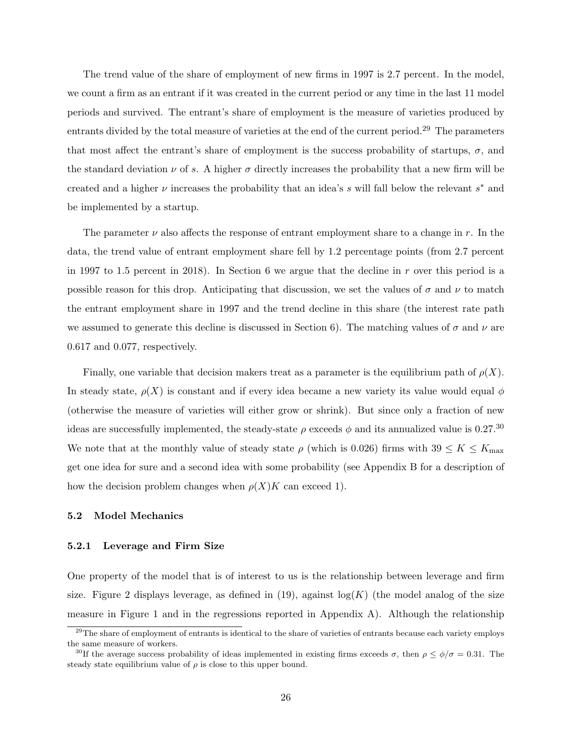The trend value of the share of employment of new firms in 1997 is 2.7 percent. In the model, we count a firm as an entrant if it was created in the current period or any time in the last 11 model periods and survived. The entrant's share of employment is the measure of varieties produced by entrants divided by the total measure of varieties at the end of the current period.<sup>29</sup> The parameters that most affect the entrant's share of employment is the success probability of startups,  $\sigma$ , and the standard deviation  $\nu$  of s. A higher  $\sigma$  directly increases the probability that a new firm will be created and a higher  $\nu$  increases the probability that an idea's s will fall below the relevant s<sup>\*</sup> and be implemented by a startup.

The parameter  $\nu$  also affects the response of entrant employment share to a change in r. In the data, the trend value of entrant employment share fell by 1.2 percentage points (from 2.7 percent in 1997 to 1.5 percent in 2018). In Section 6 we argue that the decline in  $r$  over this period is a possible reason for this drop. Anticipating that discussion, we set the values of  $\sigma$  and  $\nu$  to match the entrant employment share in 1997 and the trend decline in this share (the interest rate path we assumed to generate this decline is discussed in Section 6). The matching values of  $\sigma$  and  $\nu$  are 0.617 and 0.077, respectively.

Finally, one variable that decision makers treat as a parameter is the equilibrium path of  $\rho(X)$ . In steady state,  $\rho(X)$  is constant and if every idea became a new variety its value would equal  $\phi$ (otherwise the measure of varieties will either grow or shrink). But since only a fraction of new ideas are successfully implemented, the steady-state  $\rho$  exceeds  $\phi$  and its annualized value is 0.27.<sup>30</sup> We note that at the monthly value of steady state  $\rho$  (which is 0.026) firms with 39  $\leq K \leq K_{\text{max}}$ get one idea for sure and a second idea with some probability (see Appendix B for a description of how the decision problem changes when  $\rho(X)K$  can exceed 1).

#### 5.2 Model Mechanics

#### 5.2.1 Leverage and Firm Size

One property of the model that is of interest to us is the relationship between leverage and firm size. Figure 2 displays leverage, as defined in (19), against  $log(K)$  (the model analog of the size measure in Figure 1 and in the regressions reported in Appendix A). Although the relationship

<sup>&</sup>lt;sup>29</sup>The share of employment of entrants is identical to the share of varieties of entrants because each variety employs the same measure of workers.

<sup>&</sup>lt;sup>30</sup>If the average success probability of ideas implemented in existing firms exceeds  $\sigma$ , then  $\rho \le \phi/\sigma = 0.31$ . The steady state equilibrium value of  $\rho$  is close to this upper bound.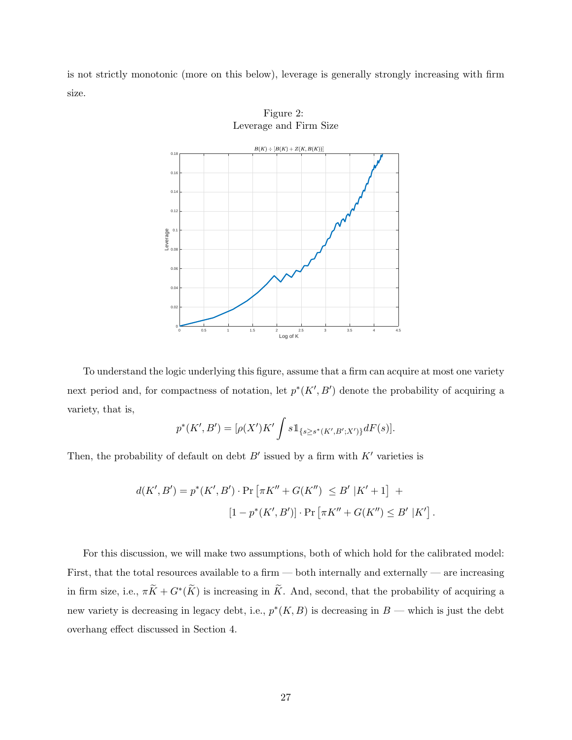is not strictly monotonic (more on this below), leverage is generally strongly increasing with firm size.



Figure 2: Leverage and Firm Size

To understand the logic underlying this figure, assume that a firm can acquire at most one variety next period and, for compactness of notation, let  $p^*(K', B')$  denote the probability of acquiring a variety, that is,

$$
p^*(K', B') = [\rho(X')K' \int s \mathbb{1}_{\{s \ge s^*(K', B'; X')\}} dF(s)].
$$

Then, the probability of default on debt  $B'$  issued by a firm with  $K'$  varieties is

$$
d(K', B') = p^*(K', B') \cdot \Pr[\pi K'' + G(K'') \leq B' | K' + 1] +
$$
  
[1 - p^\*(K', B')] \cdot \Pr[\pi K'' + G(K'') \leq B' | K'] .

For this discussion, we will make two assumptions, both of which hold for the calibrated model: First, that the total resources available to a firm — both internally and externally — are increasing in firm size, i.e.,  $\pi \tilde{K} + G^*(\tilde{K})$  is increasing in  $\tilde{K}$ . And, second, that the probability of acquiring a new variety is decreasing in legacy debt, i.e.,  $p^*(K, B)$  is decreasing in  $B$  — which is just the debt overhang effect discussed in Section 4.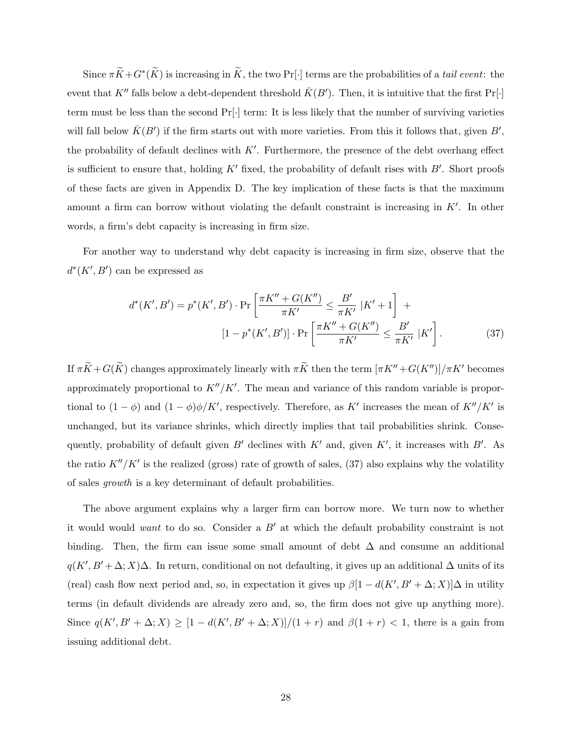Since  $\pi \widetilde{K} + G^*(\widetilde{K})$  is increasing in  $\widetilde{K}$ , the two Pr[ $\cdot$ ] terms are the probabilities of a *tail event*: the event that K<sup>''</sup> falls below a debt-dependent threshold  $\bar{K}(B')$ . Then, it is intuitive that the first Pr[ $\cdot$ ] term must be less than the second  $Pr[\cdot]$  term: It is less likely that the number of surviving varieties will fall below  $\bar{K}(B')$  if the firm starts out with more varieties. From this it follows that, given  $B'$ , the probability of default declines with  $K'$ . Furthermore, the presence of the debt overhang effect is sufficient to ensure that, holding  $K'$  fixed, the probability of default rises with  $B'$ . Short proofs of these facts are given in Appendix D. The key implication of these facts is that the maximum amount a firm can borrow without violating the default constraint is increasing in  $K'$ . In other words, a firm's debt capacity is increasing in firm size.

For another way to understand why debt capacity is increasing in firm size, observe that the  $d^*(K', B')$  can be expressed as

$$
d^*(K', B') = p^*(K', B') \cdot \Pr\left[\frac{\pi K'' + G(K'')}{\pi K'} \le \frac{B'}{\pi K'} |K' + 1\right] +
$$
  

$$
[1 - p^*(K', B')] \cdot \Pr\left[\frac{\pi K'' + G(K'')}{\pi K'} \le \frac{B'}{\pi K'} |K'|\right].
$$
 (37)

If  $\pi \widetilde{K} + G(\widetilde{K})$  changes approximately linearly with  $\pi \widetilde{K}$  then the term  $[\pi K'' + G(K'')] / \pi K'$  becomes approximately proportional to  $K''/K'$ . The mean and variance of this random variable is proportional to  $(1 - \phi)$  and  $(1 - \phi)\phi/K'$ , respectively. Therefore, as K' increases the mean of  $K''/K'$  is unchanged, but its variance shrinks, which directly implies that tail probabilities shrink. Consequently, probability of default given  $B'$  declines with  $K'$  and, given  $K'$ , it increases with  $B'$ . As the ratio  $K''/K'$  is the realized (gross) rate of growth of sales, (37) also explains why the volatility of sales growth is a key determinant of default probabilities.

The above argument explains why a larger firm can borrow more. We turn now to whether it would would want to do so. Consider a  $B'$  at which the default probability constraint is not binding. Then, the firm can issue some small amount of debt  $\Delta$  and consume an additional  $q(K', B' + \Delta; X) \Delta$ . In return, conditional on not defaulting, it gives up an additional  $\Delta$  units of its (real) cash flow next period and, so, in expectation it gives up  $\beta[1-d(K',B'+\Delta;X)]\Delta$  in utility terms (in default dividends are already zero and, so, the firm does not give up anything more). Since  $q(K', B' + \Delta; X) \geq [1 - d(K', B' + \Delta; X)]/(1+r)$  and  $\beta(1+r) < 1$ , there is a gain from issuing additional debt.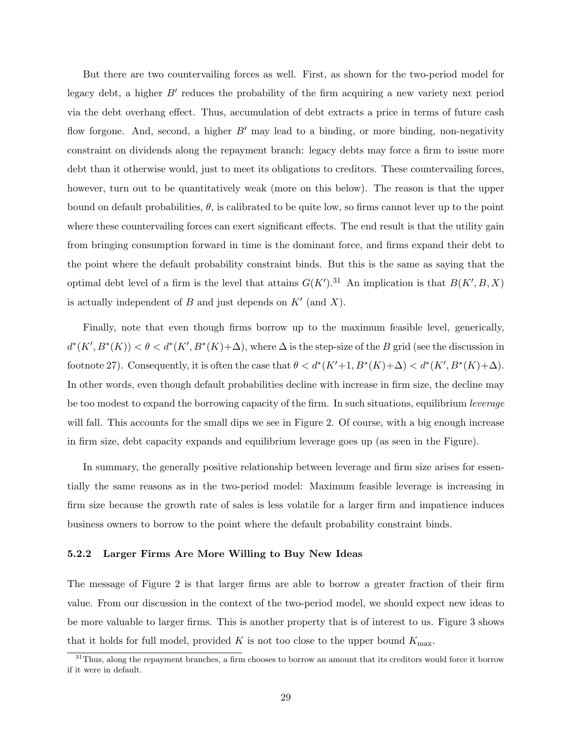But there are two countervailing forces as well. First, as shown for the two-period model for legacy debt, a higher  $B'$  reduces the probability of the firm acquiring a new variety next period via the debt overhang effect. Thus, accumulation of debt extracts a price in terms of future cash flow forgone. And, second, a higher  $B'$  may lead to a binding, or more binding, non-negativity constraint on dividends along the repayment branch: legacy debts may force a firm to issue more debt than it otherwise would, just to meet its obligations to creditors. These countervailing forces, however, turn out to be quantitatively weak (more on this below). The reason is that the upper bound on default probabilities,  $\theta$ , is calibrated to be quite low, so firms cannot lever up to the point where these countervailing forces can exert significant effects. The end result is that the utility gain from bringing consumption forward in time is the dominant force, and firms expand their debt to the point where the default probability constraint binds. But this is the same as saying that the optimal debt level of a firm is the level that attains  $G(K')$ .<sup>31</sup> An implication is that  $B(K', B, X)$ is actually independent of  $B$  and just depends on  $K'$  (and  $X$ ).

Finally, note that even though firms borrow up to the maximum feasible level, generically,  $d^*(K', B^*(K)) < \theta < d^*(K', B^*(K) + \Delta)$ , where  $\Delta$  is the step-size of the B grid (see the discussion in footnote 27). Consequently, it is often the case that  $\theta < d^*(K' + 1, B^*(K) + \Delta) < d^*(K', B^*(K) + \Delta)$ . In other words, even though default probabilities decline with increase in firm size, the decline may be too modest to expand the borrowing capacity of the firm. In such situations, equilibrium leverage will fall. This accounts for the small dips we see in Figure 2. Of course, with a big enough increase in firm size, debt capacity expands and equilibrium leverage goes up (as seen in the Figure).

In summary, the generally positive relationship between leverage and firm size arises for essentially the same reasons as in the two-period model: Maximum feasible leverage is increasing in firm size because the growth rate of sales is less volatile for a larger firm and impatience induces business owners to borrow to the point where the default probability constraint binds.

#### 5.2.2 Larger Firms Are More Willing to Buy New Ideas

The message of Figure 2 is that larger firms are able to borrow a greater fraction of their firm value. From our discussion in the context of the two-period model, we should expect new ideas to be more valuable to larger firms. This is another property that is of interest to us. Figure 3 shows that it holds for full model, provided K is not too close to the upper bound  $K_{\text{max}}$ .

 $31$ Thus, along the repayment branches, a firm chooses to borrow an amount that its creditors would force it borrow if it were in default.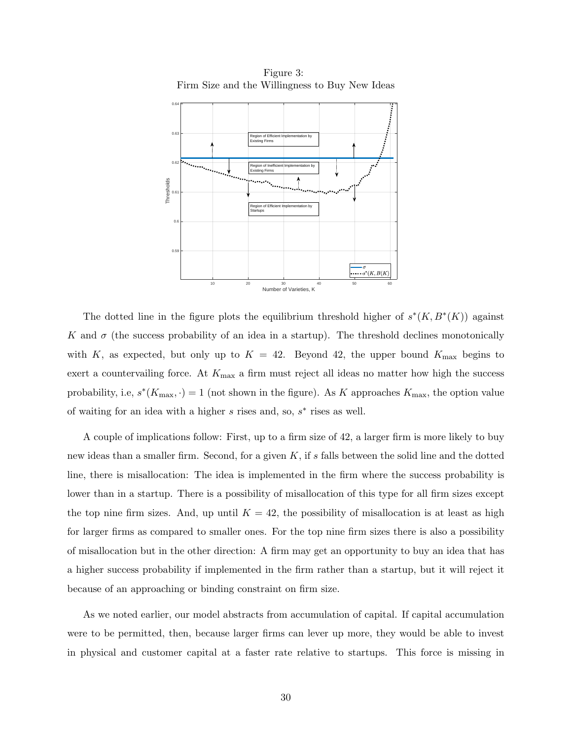

Figure 3: Firm Size and the Willingness to Buy New Ideas

The dotted line in the figure plots the equilibrium threshold higher of  $s^*(K, B^*(K))$  against K and  $\sigma$  (the success probability of an idea in a startup). The threshold declines monotonically with K, as expected, but only up to  $K = 42$ . Beyond 42, the upper bound  $K_{\text{max}}$  begins to exert a countervailing force. At  $K_{\text{max}}$  a firm must reject all ideas no matter how high the success probability, i.e,  $s^*(K_{\text{max}}, \cdot) = 1$  (not shown in the figure). As K approaches  $K_{\text{max}}$ , the option value of waiting for an idea with a higher  $s$  rises and, so,  $s^*$  rises as well.

A couple of implications follow: First, up to a firm size of 42, a larger firm is more likely to buy new ideas than a smaller firm. Second, for a given  $K$ , if s falls between the solid line and the dotted line, there is misallocation: The idea is implemented in the firm where the success probability is lower than in a startup. There is a possibility of misallocation of this type for all firm sizes except the top nine firm sizes. And, up until  $K = 42$ , the possibility of misallocation is at least as high for larger firms as compared to smaller ones. For the top nine firm sizes there is also a possibility of misallocation but in the other direction: A firm may get an opportunity to buy an idea that has a higher success probability if implemented in the firm rather than a startup, but it will reject it because of an approaching or binding constraint on firm size.

As we noted earlier, our model abstracts from accumulation of capital. If capital accumulation were to be permitted, then, because larger firms can lever up more, they would be able to invest in physical and customer capital at a faster rate relative to startups. This force is missing in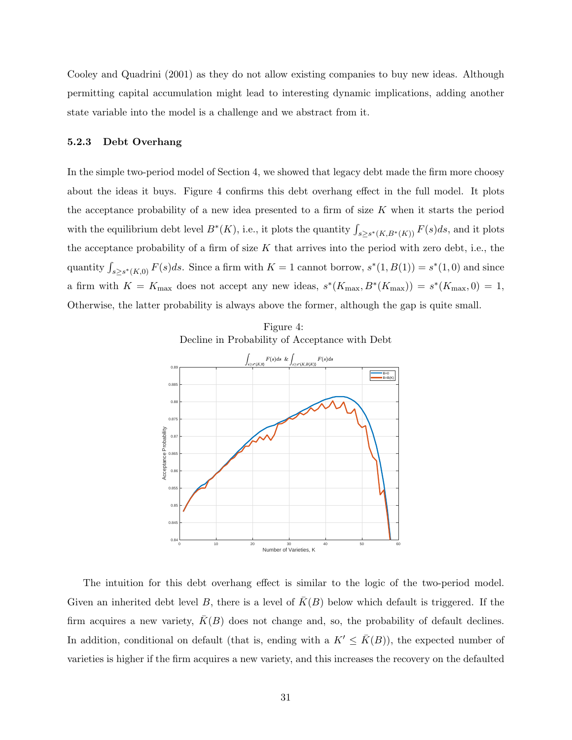Cooley and Quadrini (2001) as they do not allow existing companies to buy new ideas. Although permitting capital accumulation might lead to interesting dynamic implications, adding another state variable into the model is a challenge and we abstract from it.

#### 5.2.3 Debt Overhang

In the simple two-period model of Section 4, we showed that legacy debt made the firm more choosy about the ideas it buys. Figure 4 confirms this debt overhang effect in the full model. It plots the acceptance probability of a new idea presented to a firm of size  $K$  when it starts the period with the equilibrium debt level  $B^*(K)$ , i.e., it plots the quantity  $\int_{s\geq s^*(K,B^*(K))} F(s)ds$ , and it plots the acceptance probability of a firm of size  $K$  that arrives into the period with zero debt, i.e., the quantity  $\int_{s\geq s^*(K,0)} F(s)ds$ . Since a firm with  $K=1$  cannot borrow,  $s^*(1, B(1)) = s^*(1,0)$  and since a firm with  $K = K_{\text{max}}$  does not accept any new ideas,  $s^*(K_{\text{max}}, B^*(K_{\text{max}})) = s^*(K_{\text{max}}, 0) = 1$ , Otherwise, the latter probability is always above the former, although the gap is quite small.

Figure 4: Decline in Probability of Acceptance with Debt



The intuition for this debt overhang effect is similar to the logic of the two-period model. Given an inherited debt level B, there is a level of  $\overline{K}(B)$  below which default is triggered. If the firm acquires a new variety,  $\bar{K}(B)$  does not change and, so, the probability of default declines. In addition, conditional on default (that is, ending with a  $K' \leq \overline{K}(B)$ ), the expected number of varieties is higher if the firm acquires a new variety, and this increases the recovery on the defaulted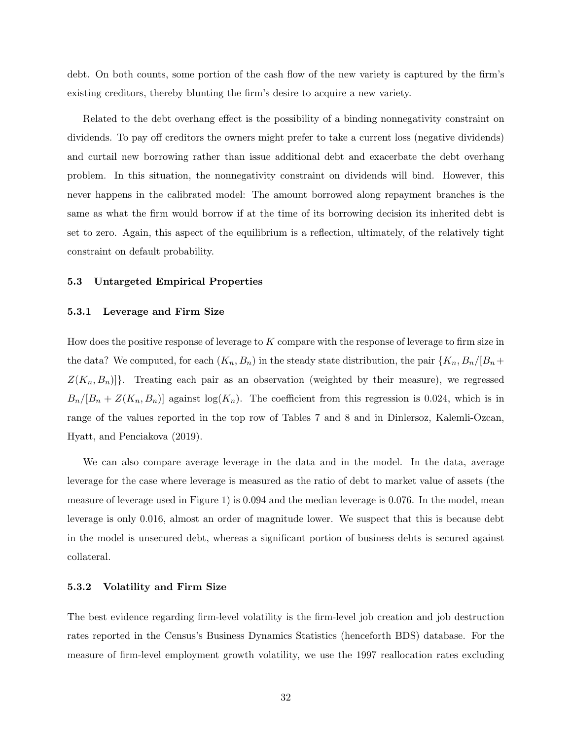debt. On both counts, some portion of the cash flow of the new variety is captured by the firm's existing creditors, thereby blunting the firm's desire to acquire a new variety.

Related to the debt overhang effect is the possibility of a binding nonnegativity constraint on dividends. To pay off creditors the owners might prefer to take a current loss (negative dividends) and curtail new borrowing rather than issue additional debt and exacerbate the debt overhang problem. In this situation, the nonnegativity constraint on dividends will bind. However, this never happens in the calibrated model: The amount borrowed along repayment branches is the same as what the firm would borrow if at the time of its borrowing decision its inherited debt is set to zero. Again, this aspect of the equilibrium is a reflection, ultimately, of the relatively tight constraint on default probability.

#### 5.3 Untargeted Empirical Properties

#### 5.3.1 Leverage and Firm Size

How does the positive response of leverage to K compare with the response of leverage to firm size in the data? We computed, for each  $(K_n, B_n)$  in the steady state distribution, the pair  $\{K_n, B_n/[B_n+\}$  $Z(K_n, B_n)]$ . Treating each pair as an observation (weighted by their measure), we regressed  $B_n/[B_n + Z(K_n, B_n)]$  against  $log(K_n)$ . The coefficient from this regression is 0.024, which is in range of the values reported in the top row of Tables 7 and 8 and in Dinlersoz, Kalemli-Ozcan, Hyatt, and Penciakova (2019).

We can also compare average leverage in the data and in the model. In the data, average leverage for the case where leverage is measured as the ratio of debt to market value of assets (the measure of leverage used in Figure 1) is 0.094 and the median leverage is 0.076. In the model, mean leverage is only 0.016, almost an order of magnitude lower. We suspect that this is because debt in the model is unsecured debt, whereas a significant portion of business debts is secured against collateral.

#### 5.3.2 Volatility and Firm Size

The best evidence regarding firm-level volatility is the firm-level job creation and job destruction rates reported in the Census's Business Dynamics Statistics (henceforth BDS) database. For the measure of firm-level employment growth volatility, we use the 1997 reallocation rates excluding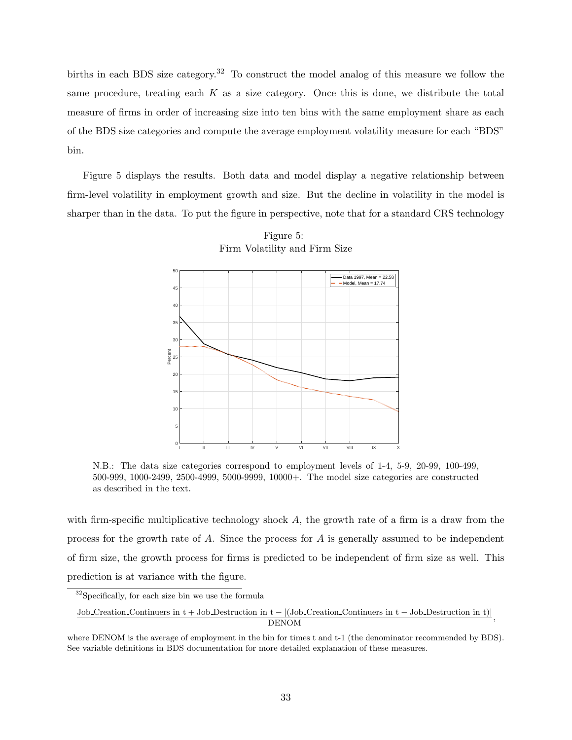births in each BDS size category.<sup>32</sup> To construct the model analog of this measure we follow the same procedure, treating each  $K$  as a size category. Once this is done, we distribute the total measure of firms in order of increasing size into ten bins with the same employment share as each of the BDS size categories and compute the average employment volatility measure for each "BDS" bin.

Figure 5 displays the results. Both data and model display a negative relationship between firm-level volatility in employment growth and size. But the decline in volatility in the model is sharper than in the data. To put the figure in perspective, note that for a standard CRS technology



Figure 5: Firm Volatility and Firm Size

N.B.: The data size categories correspond to employment levels of 1-4, 5-9, 20-99, 100-499, 500-999, 1000-2499, 2500-4999, 5000-9999, 10000+. The model size categories are constructed as described in the text.

with firm-specific multiplicative technology shock  $A$ , the growth rate of a firm is a draw from the process for the growth rate of  $A$ . Since the process for  $A$  is generally assumed to be independent of firm size, the growth process for firms is predicted to be independent of firm size as well. This prediction is at variance with the figure.

```
Job Creation Continuers in t + Job Destruction in t − |(Job Creation Continuers in t − Job Destruction in t)|
DENOM ,
```
<sup>32</sup>Specifically, for each size bin we use the formula

where DENOM is the average of employment in the bin for times t and t-1 (the denominator recommended by BDS). See variable definitions in BDS documentation for more detailed explanation of these measures.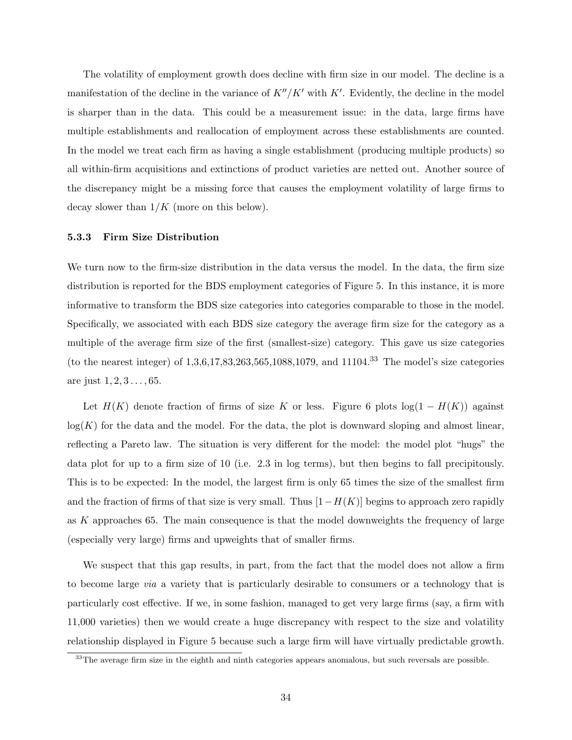The volatility of employment growth does decline with firm size in our model. The decline is a manifestation of the decline in the variance of  $K''/K'$  with  $K'$ . Evidently, the decline in the model is sharper than in the data. This could be a measurement issue: in the data, large firms have multiple establishments and reallocation of employment across these establishments are counted. In the model we treat each firm as having a single establishment (producing multiple products) so all within-firm acquisitions and extinctions of product varieties are netted out. Another source of the discrepancy might be a missing force that causes the employment volatility of large firms to decay slower than  $1/K$  (more on this below).

#### 5.3.3 Firm Size Distribution

We turn now to the firm-size distribution in the data versus the model. In the data, the firm size distribution is reported for the BDS employment categories of Figure 5. In this instance, it is more informative to transform the BDS size categories into categories comparable to those in the model. Specifically, we associated with each BDS size category the average firm size for the category as a multiple of the average firm size of the first (smallest-size) category. This gave us size categories (to the nearest integer) of  $1,3,6,17,83,263,565,1088,1079$ , and  $11104$ <sup>33</sup> The model's size categories are just  $1, 2, 3, \ldots, 65$ .

Let  $H(K)$  denote fraction of firms of size K or less. Figure 6 plots  $log(1 - H(K))$  against  $log(K)$  for the data and the model. For the data, the plot is downward sloping and almost linear, reflecting a Pareto law. The situation is very different for the model: the model plot "hugs" the data plot for up to a firm size of 10 (i.e. 2.3 in log terms), but then begins to fall precipitously. This is to be expected: In the model, the largest firm is only 65 times the size of the smallest firm and the fraction of firms of that size is very small. Thus  $[1-H(K)]$  begins to approach zero rapidly as K approaches 65. The main consequence is that the model downweights the frequency of large (especially very large) firms and upweights that of smaller firms.

We suspect that this gap results, in part, from the fact that the model does not allow a firm to become large via a variety that is particularly desirable to consumers or a technology that is particularly cost effective. If we, in some fashion, managed to get very large firms (say, a firm with 11,000 varieties) then we would create a huge discrepancy with respect to the size and volatility relationship displayed in Figure 5 because such a large firm will have virtually predictable growth.

<sup>&</sup>lt;sup>33</sup>The average firm size in the eighth and ninth categories appears anomalous, but such reversals are possible.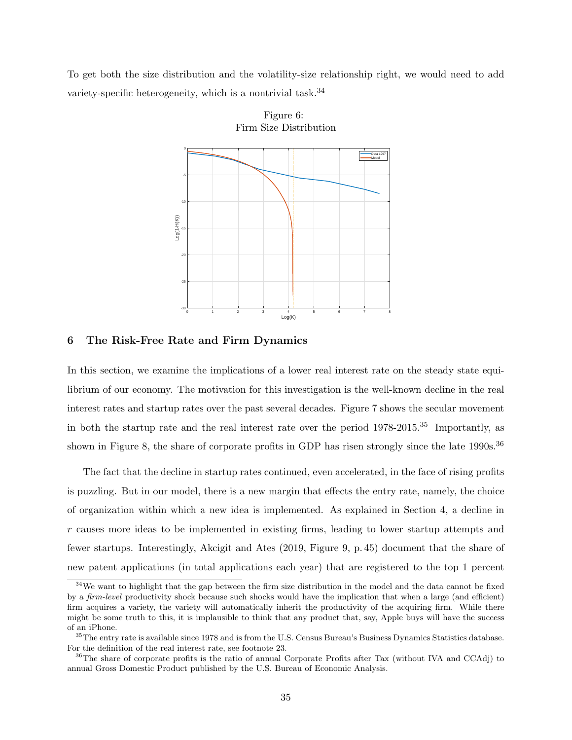To get both the size distribution and the volatility-size relationship right, we would need to add variety-specific heterogeneity, which is a nontrivial task.<sup>34</sup>



Figure 6: Firm Size Distribution

#### 6 The Risk-Free Rate and Firm Dynamics

In this section, we examine the implications of a lower real interest rate on the steady state equilibrium of our economy. The motivation for this investigation is the well-known decline in the real interest rates and startup rates over the past several decades. Figure 7 shows the secular movement in both the startup rate and the real interest rate over the period  $1978-2015^{35}$  Importantly, as shown in Figure 8, the share of corporate profits in GDP has risen strongly since the late 1990s.<sup>36</sup>

The fact that the decline in startup rates continued, even accelerated, in the face of rising profits is puzzling. But in our model, there is a new margin that effects the entry rate, namely, the choice of organization within which a new idea is implemented. As explained in Section 4, a decline in r causes more ideas to be implemented in existing firms, leading to lower startup attempts and fewer startups. Interestingly, Akcigit and Ates (2019, Figure 9, p. 45) document that the share of new patent applications (in total applications each year) that are registered to the top 1 percent

<sup>&</sup>lt;sup>34</sup>We want to highlight that the gap between the firm size distribution in the model and the data cannot be fixed by a firm-level productivity shock because such shocks would have the implication that when a large (and efficient) firm acquires a variety, the variety will automatically inherit the productivity of the acquiring firm. While there might be some truth to this, it is implausible to think that any product that, say, Apple buys will have the success of an iPhone.

<sup>&</sup>lt;sup>35</sup>The entry rate is available since 1978 and is from the U.S. Census Bureau's Business Dynamics Statistics database. For the definition of the real interest rate, see footnote 23.

<sup>&</sup>lt;sup>36</sup>The share of corporate profits is the ratio of annual Corporate Profits after Tax (without IVA and CCAdj) to annual Gross Domestic Product published by the U.S. Bureau of Economic Analysis.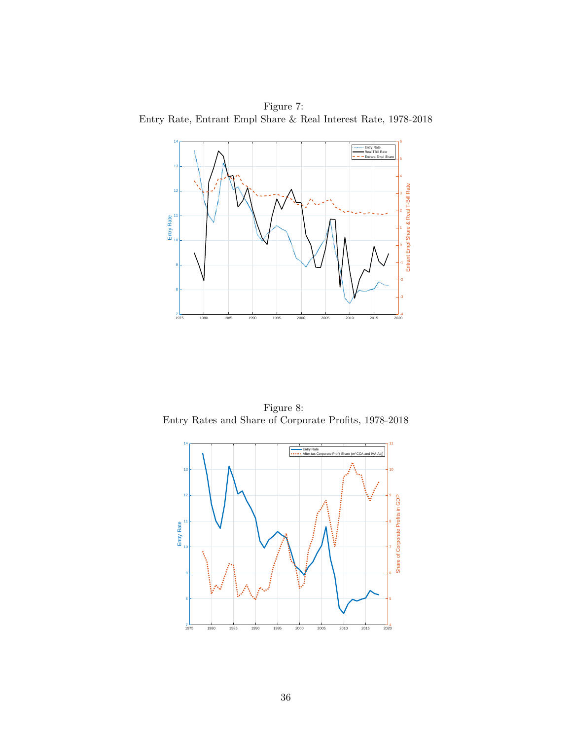Figure 7: Entry Rate, Entrant Empl Share & Real Interest Rate, 1978-2018



Figure 8: Entry Rates and Share of Corporate Profits, 1978-2018

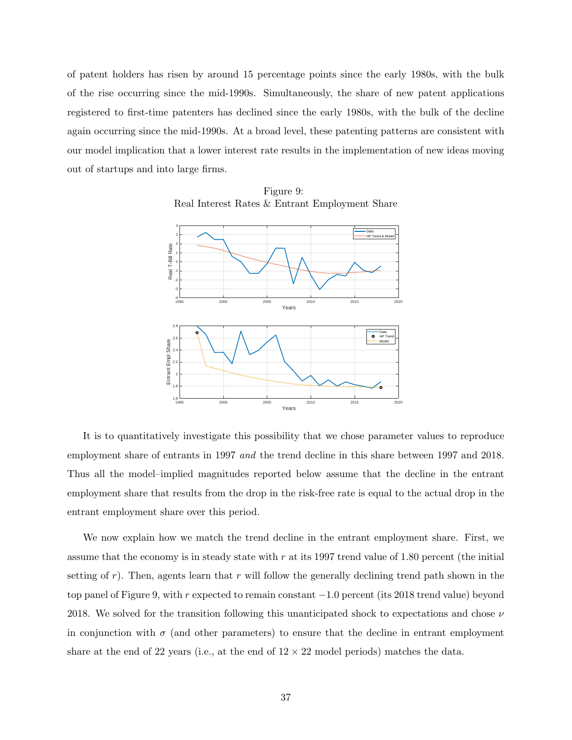of patent holders has risen by around 15 percentage points since the early 1980s, with the bulk of the rise occurring since the mid-1990s. Simultaneously, the share of new patent applications registered to first-time patenters has declined since the early 1980s, with the bulk of the decline again occurring since the mid-1990s. At a broad level, these patenting patterns are consistent with our model implication that a lower interest rate results in the implementation of new ideas moving out of startups and into large firms.

Figure 9: Real Interest Rates & Entrant Employment Share



It is to quantitatively investigate this possibility that we chose parameter values to reproduce employment share of entrants in 1997 and the trend decline in this share between 1997 and 2018. Thus all the model–implied magnitudes reported below assume that the decline in the entrant employment share that results from the drop in the risk-free rate is equal to the actual drop in the entrant employment share over this period.

We now explain how we match the trend decline in the entrant employment share. First, we assume that the economy is in steady state with  $r$  at its 1997 trend value of 1.80 percent (the initial setting of  $r$ ). Then, agents learn that  $r$  will follow the generally declining trend path shown in the top panel of Figure 9, with r expected to remain constant  $-1.0$  percent (its 2018 trend value) beyond 2018. We solved for the transition following this unanticipated shock to expectations and chose  $\nu$ in conjunction with  $\sigma$  (and other parameters) to ensure that the decline in entrant employment share at the end of 22 years (i.e., at the end of  $12 \times 22$  model periods) matches the data.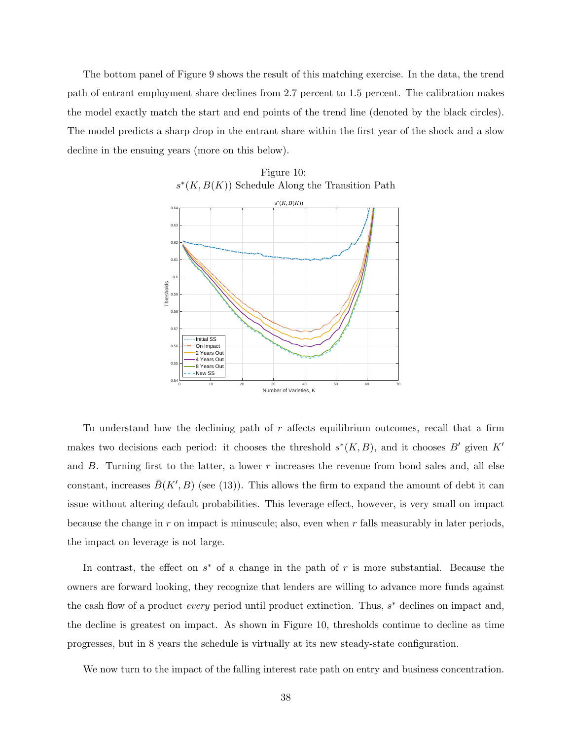The bottom panel of Figure 9 shows the result of this matching exercise. In the data, the trend path of entrant employment share declines from 2.7 percent to 1.5 percent. The calibration makes the model exactly match the start and end points of the trend line (denoted by the black circles). The model predicts a sharp drop in the entrant share within the first year of the shock and a slow decline in the ensuing years (more on this below).



Figure 10:  $s^*(K, B(K))$  Schedule Along the Transition Path

To understand how the declining path of r affects equilibrium outcomes, recall that a firm makes two decisions each period: it chooses the threshold  $s^*(K, B)$ , and it chooses B' given K' and  $B$ . Turning first to the latter, a lower  $r$  increases the revenue from bond sales and, all else constant, increases  $\bar{B}(K', B)$  (see (13)). This allows the firm to expand the amount of debt it can issue without altering default probabilities. This leverage effect, however, is very small on impact because the change in  $r$  on impact is minuscule; also, even when  $r$  falls measurably in later periods, the impact on leverage is not large.

In contrast, the effect on  $s^*$  of a change in the path of r is more substantial. Because the owners are forward looking, they recognize that lenders are willing to advance more funds against the cash flow of a product every period until product extinction. Thus,  $s^*$  declines on impact and, the decline is greatest on impact. As shown in Figure 10, thresholds continue to decline as time progresses, but in 8 years the schedule is virtually at its new steady-state configuration.

We now turn to the impact of the falling interest rate path on entry and business concentration.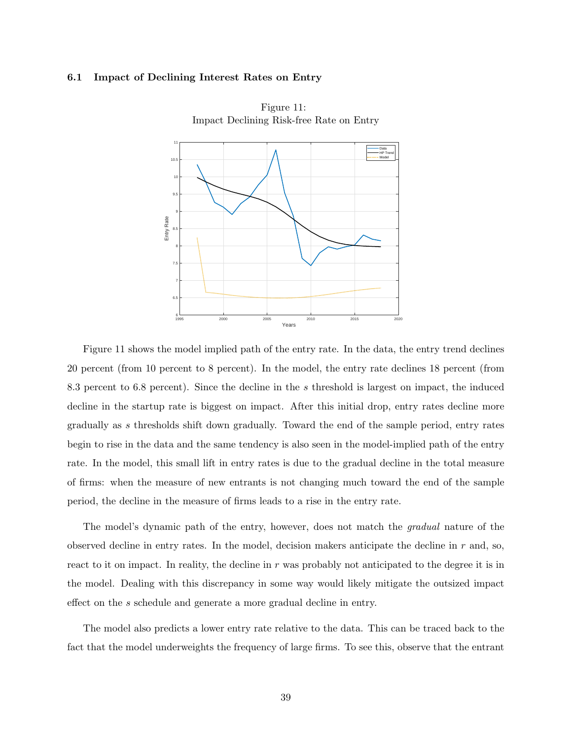#### 6.1 Impact of Declining Interest Rates on Entry





Figure 11 shows the model implied path of the entry rate. In the data, the entry trend declines 20 percent (from 10 percent to 8 percent). In the model, the entry rate declines 18 percent (from 8.3 percent to 6.8 percent). Since the decline in the s threshold is largest on impact, the induced decline in the startup rate is biggest on impact. After this initial drop, entry rates decline more gradually as s thresholds shift down gradually. Toward the end of the sample period, entry rates begin to rise in the data and the same tendency is also seen in the model-implied path of the entry rate. In the model, this small lift in entry rates is due to the gradual decline in the total measure of firms: when the measure of new entrants is not changing much toward the end of the sample period, the decline in the measure of firms leads to a rise in the entry rate.

The model's dynamic path of the entry, however, does not match the gradual nature of the observed decline in entry rates. In the model, decision makers anticipate the decline in  $r$  and, so, react to it on impact. In reality, the decline in r was probably not anticipated to the degree it is in the model. Dealing with this discrepancy in some way would likely mitigate the outsized impact effect on the s schedule and generate a more gradual decline in entry.

The model also predicts a lower entry rate relative to the data. This can be traced back to the fact that the model underweights the frequency of large firms. To see this, observe that the entrant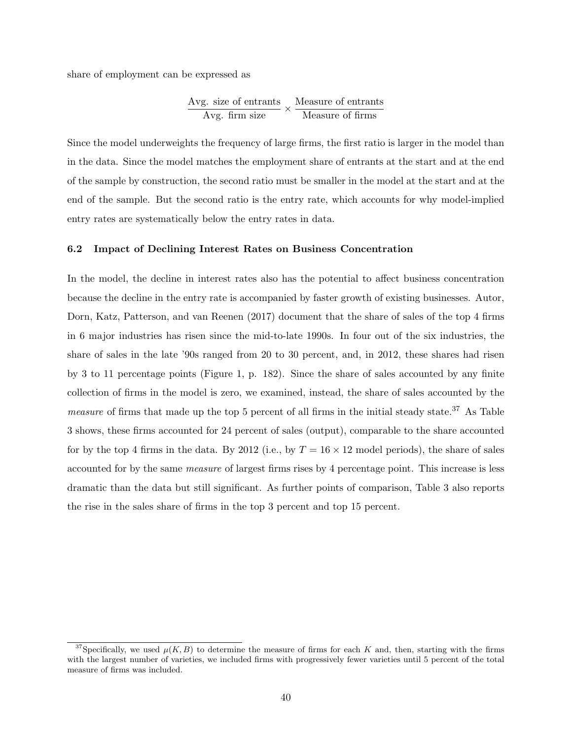share of employment can be expressed as

$$
\frac{\text{Avg. size of entrants}}{\text{Avg. firm size}} \times \frac{\text{Measure of entrants}}{\text{Measure of firms}}
$$

Since the model underweights the frequency of large firms, the first ratio is larger in the model than in the data. Since the model matches the employment share of entrants at the start and at the end of the sample by construction, the second ratio must be smaller in the model at the start and at the end of the sample. But the second ratio is the entry rate, which accounts for why model-implied entry rates are systematically below the entry rates in data.

#### 6.2 Impact of Declining Interest Rates on Business Concentration

In the model, the decline in interest rates also has the potential to affect business concentration because the decline in the entry rate is accompanied by faster growth of existing businesses. Autor, Dorn, Katz, Patterson, and van Reenen (2017) document that the share of sales of the top 4 firms in 6 major industries has risen since the mid-to-late 1990s. In four out of the six industries, the share of sales in the late '90s ranged from 20 to 30 percent, and, in 2012, these shares had risen by 3 to 11 percentage points (Figure 1, p. 182). Since the share of sales accounted by any finite collection of firms in the model is zero, we examined, instead, the share of sales accounted by the measure of firms that made up the top 5 percent of all firms in the initial steady state.<sup>37</sup> As Table 3 shows, these firms accounted for 24 percent of sales (output), comparable to the share accounted for by the top 4 firms in the data. By 2012 (i.e., by  $T = 16 \times 12$  model periods), the share of sales accounted for by the same measure of largest firms rises by 4 percentage point. This increase is less dramatic than the data but still significant. As further points of comparison, Table 3 also reports the rise in the sales share of firms in the top 3 percent and top 15 percent.

<sup>&</sup>lt;sup>37</sup>Specifically, we used  $\mu(K, B)$  to determine the measure of firms for each K and, then, starting with the firms with the largest number of varieties, we included firms with progressively fewer varieties until 5 percent of the total measure of firms was included.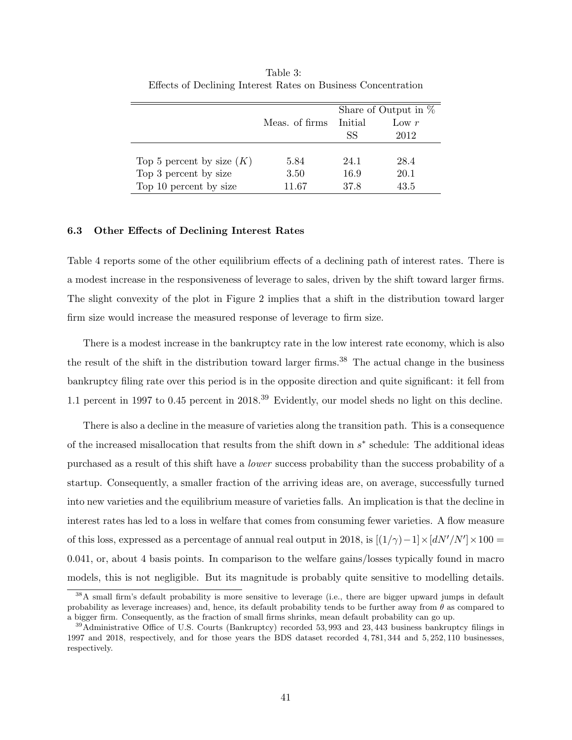|                             |                |         | Share of Output in $%$ |
|-----------------------------|----------------|---------|------------------------|
|                             | Meas, of firms | Initial | Low r                  |
|                             |                | SS      | 2012                   |
|                             |                |         |                        |
| Top 5 percent by size $(K)$ | 5.84           | 24.1    | 28.4                   |
| Top 3 percent by size       | 3.50           | 16.9    | 20.1                   |
| Top 10 percent by size      | 11.67          | 37.8    | 43.5                   |

Table 3: Effects of Declining Interest Rates on Business Concentration

#### 6.3 Other Effects of Declining Interest Rates

Table 4 reports some of the other equilibrium effects of a declining path of interest rates. There is a modest increase in the responsiveness of leverage to sales, driven by the shift toward larger firms. The slight convexity of the plot in Figure 2 implies that a shift in the distribution toward larger firm size would increase the measured response of leverage to firm size.

There is a modest increase in the bankruptcy rate in the low interest rate economy, which is also the result of the shift in the distribution toward larger firms.<sup>38</sup> The actual change in the business bankruptcy filing rate over this period is in the opposite direction and quite significant: it fell from 1.1 percent in 1997 to 0.45 percent in 2018.<sup>39</sup> Evidently, our model sheds no light on this decline.

There is also a decline in the measure of varieties along the transition path. This is a consequence of the increased misallocation that results from the shift down in  $s^*$  schedule: The additional ideas purchased as a result of this shift have a lower success probability than the success probability of a startup. Consequently, a smaller fraction of the arriving ideas are, on average, successfully turned into new varieties and the equilibrium measure of varieties falls. An implication is that the decline in interest rates has led to a loss in welfare that comes from consuming fewer varieties. A flow measure of this loss, expressed as a percentage of annual real output in 2018, is  $[(1/\gamma)-1] \times [dN'/N'] \times 100 =$ 0.041, or, about 4 basis points. In comparison to the welfare gains/losses typically found in macro models, this is not negligible. But its magnitude is probably quite sensitive to modelling details.

<sup>&</sup>lt;sup>38</sup>A small firm's default probability is more sensitive to leverage (i.e., there are bigger upward jumps in default probability as leverage increases) and, hence, its default probability tends to be further away from  $\theta$  as compared to a bigger firm. Consequently, as the fraction of small firms shrinks, mean default probability can go up.

 $39$ Administrative Office of U.S. Courts (Bankruptcy) recorded 53, 993 and 23, 443 business bankruptcy filings in 1997 and 2018, respectively, and for those years the BDS dataset recorded 4, 781, 344 and 5, 252, 110 businesses, respectively.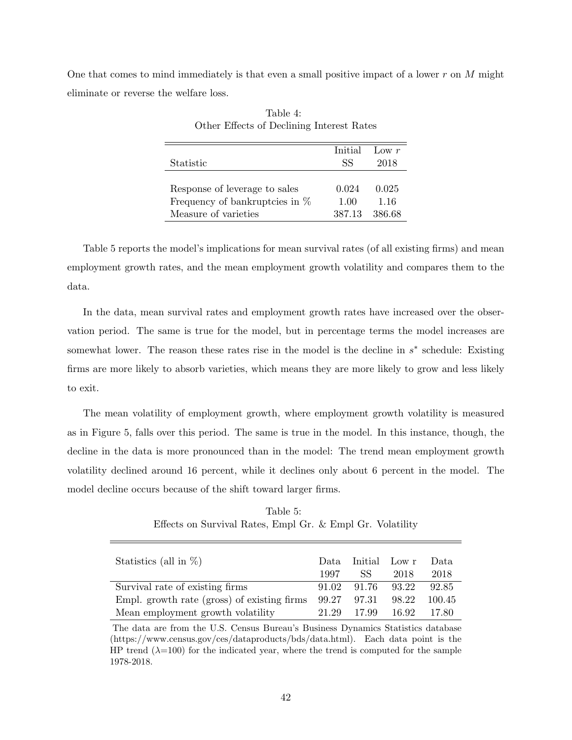One that comes to mind immediately is that even a small positive impact of a lower  $r$  on  $M$  might eliminate or reverse the welfare loss.

|                                  | Initial | Low $r$ |
|----------------------------------|---------|---------|
| Statistic                        | SS.     | 2018    |
|                                  |         |         |
| Response of leverage to sales    | 0.024   | 0.025   |
| Frequency of bankruptcies in $%$ | 1.00    | 1.16    |
| Measure of varieties             | 387 13  | -386.68 |

Table 4: Other Effects of Declining Interest Rates

Table 5 reports the model's implications for mean survival rates (of all existing firms) and mean employment growth rates, and the mean employment growth volatility and compares them to the data.

In the data, mean survival rates and employment growth rates have increased over the observation period. The same is true for the model, but in percentage terms the model increases are somewhat lower. The reason these rates rise in the model is the decline in  $s^*$  schedule: Existing firms are more likely to absorb varieties, which means they are more likely to grow and less likely to exit.

The mean volatility of employment growth, where employment growth volatility is measured as in Figure 5, falls over this period. The same is true in the model. In this instance, though, the decline in the data is more pronounced than in the model: The trend mean employment growth volatility declined around 16 percent, while it declines only about 6 percent in the model. The model decline occurs because of the shift toward larger firms.

Table 5: Effects on Survival Rates, Empl Gr. & Empl Gr. Volatility

| Statistics (all in $\%$ )                   | 1997  | Data Initial Low r<br>SS. | 2018  | Data<br>2018 |
|---------------------------------------------|-------|---------------------------|-------|--------------|
| Survival rate of existing firms             |       | 91.02 91.76 93.22         |       | 92.85        |
| Empl. growth rate (gross) of existing firms |       | 99.27 97.31               | 98.22 | 100.45       |
| Mean employment growth volatility           | 21.29 | 17.99                     | 16.92 | 17.80        |

The data are from the U.S. Census Bureau's Business Dynamics Statistics database (https://www.census.gov/ces/dataproducts/bds/data.html). Each data point is the HP trend  $(\lambda=100)$  for the indicated year, where the trend is computed for the sample 1978-2018.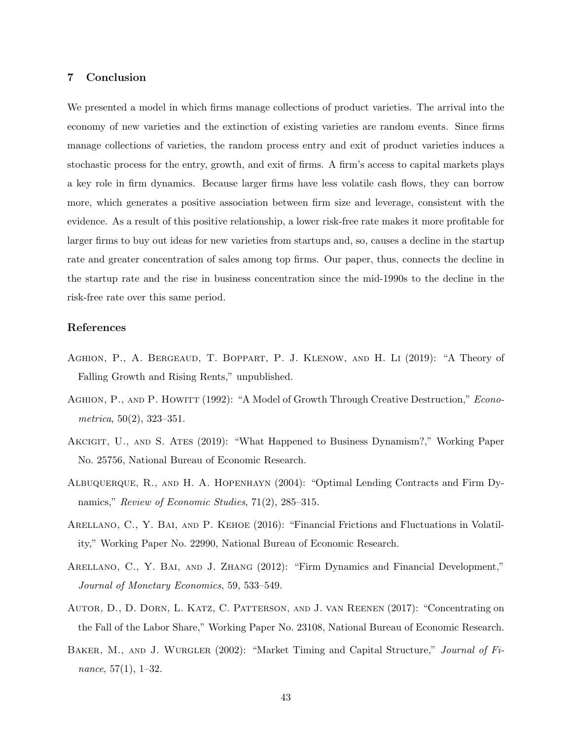## 7 Conclusion

We presented a model in which firms manage collections of product varieties. The arrival into the economy of new varieties and the extinction of existing varieties are random events. Since firms manage collections of varieties, the random process entry and exit of product varieties induces a stochastic process for the entry, growth, and exit of firms. A firm's access to capital markets plays a key role in firm dynamics. Because larger firms have less volatile cash flows, they can borrow more, which generates a positive association between firm size and leverage, consistent with the evidence. As a result of this positive relationship, a lower risk-free rate makes it more profitable for larger firms to buy out ideas for new varieties from startups and, so, causes a decline in the startup rate and greater concentration of sales among top firms. Our paper, thus, connects the decline in the startup rate and the rise in business concentration since the mid-1990s to the decline in the risk-free rate over this same period.

#### References

- Aghion, P., A. Bergeaud, T. Boppart, P. J. Klenow, and H. Li (2019): "A Theory of Falling Growth and Rising Rents," unpublished.
- AGHION, P., AND P. HOWITT (1992): "A Model of Growth Through Creative Destruction," Econometrica,  $50(2)$ ,  $323-351$ .
- AKCIGIT, U., AND S. ATES (2019): "What Happened to Business Dynamism?," Working Paper No. 25756, National Bureau of Economic Research.
- Albuquerque, R., and H. A. Hopenhayn (2004): "Optimal Lending Contracts and Firm Dynamics," Review of Economic Studies, 71(2), 285–315.
- Arellano, C., Y. Bai, and P. Kehoe (2016): "Financial Frictions and Fluctuations in Volatility," Working Paper No. 22990, National Bureau of Economic Research.
- Arellano, C., Y. Bai, and J. Zhang (2012): "Firm Dynamics and Financial Development," Journal of Monetary Economics, 59, 533–549.
- Autor, D., D. Dorn, L. Katz, C. Patterson, and J. van Reenen (2017): "Concentrating on the Fall of the Labor Share," Working Paper No. 23108, National Bureau of Economic Research.
- BAKER, M., AND J. WURGLER (2002): "Market Timing and Capital Structure," Journal of Finance,  $57(1)$ ,  $1-32$ .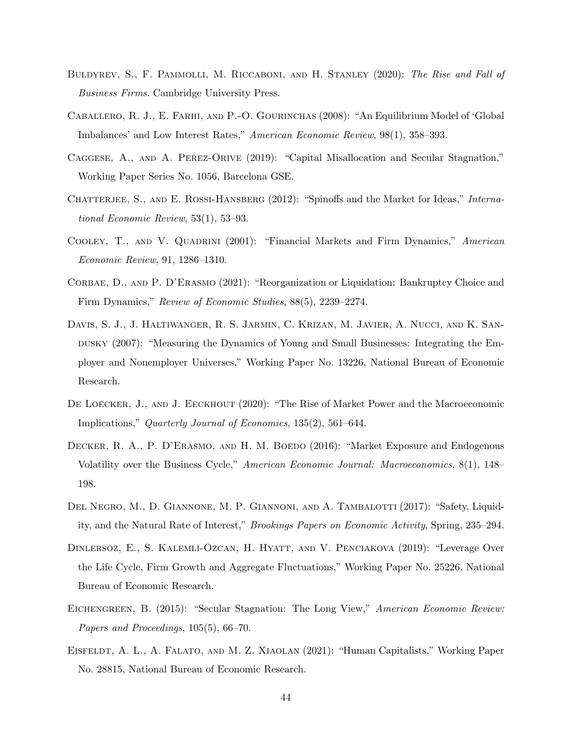- BULDYREV, S., F. PAMMOLLI, M. RICCABONI, AND H. STANLEY (2020): The Rise and Fall of Business Firms. Cambridge University Press.
- Caballero, R. J., E. Farhi, and P.-O. Gourinchas (2008): "An Equilibrium Model of 'Global Imbalances' and Low Interest Rates," American Economic Review, 98(1), 358–393.
- Caggese, A., and A. Perez-Orive (2019): "Capital Misallocation and Secular Stagnation," Working Paper Series No. 1056, Barcelona GSE.
- CHATTERJEE, S., AND E. ROSSI-HANSBERG (2012): "Spinoffs and the Market for Ideas," International Economic Review, 53(1), 53–93.
- COOLEY, T., AND V. QUADRINI (2001): "Financial Markets and Firm Dynamics," American Economic Review, 91, 1286–1310.
- Corbae, D., and P. D'Erasmo (2021): "Reorganization or Liquidation: Bankruptcy Choice and Firm Dynamics," Review of Economic Studies, 88(5), 2239–2274.
- Davis, S. J., J. Haltiwanger, R. S. Jarmin, C. Krizan, M. Javier, A. Nucci, and K. Sandusky (2007): "Measuring the Dynamics of Young and Small Businesses: Integrating the Employer and Nonemployer Universes," Working Paper No. 13226, National Bureau of Economic Research.
- DE LOECKER, J., AND J. EECKHOUT (2020): "The Rise of Market Power and the Macroeconomic Implications," Quarterly Journal of Economics, 135(2), 561–644.
- DECKER, R. A., P. D'ERASMO, AND H. M. BOEDO (2016): "Market Exposure and Endogenous Volatility over the Business Cycle," American Economic Journal: Macroeconomics, 8(1), 148– 198.
- DEL NEGRO, M., D. GIANNONE, M. P. GIANNONI, AND A. TAMBALOTTI (2017): "Safety, Liquidity, and the Natural Rate of Interest," Brookings Papers on Economic Activity, Spring, 235–294.
- Dinlersoz, E., S. Kalemli-Ozcan, H. Hyatt, and V. Penciakova (2019): "Leverage Over the Life Cycle, Firm Growth and Aggregate Fluctuations," Working Paper No. 25226, National Bureau of Economic Research.
- EICHENGREEN, B. (2015): "Secular Stagnation: The Long View," American Economic Review: Papers and Proceedings, 105(5), 66–70.
- EISFELDT, A. L., A. FALATO, AND M. Z. XIAOLAN (2021): "Human Capitalists," Working Paper No. 28815, National Bureau of Economic Research.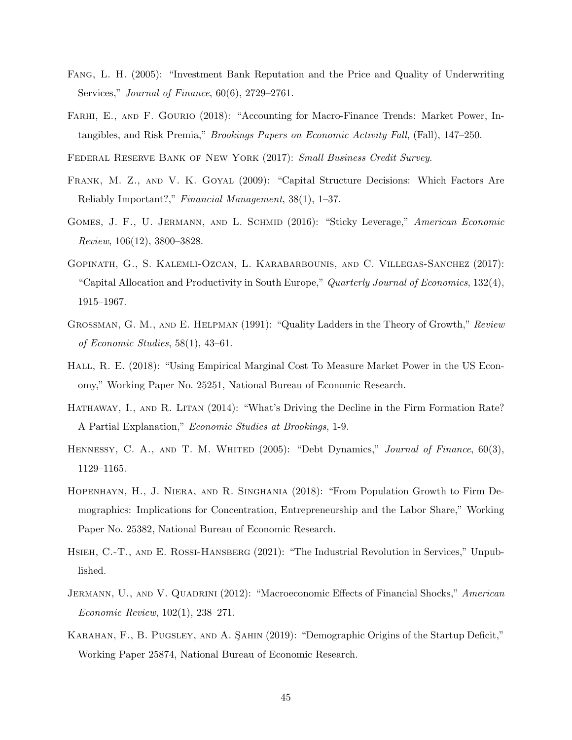- Fang, L. H. (2005): "Investment Bank Reputation and the Price and Quality of Underwriting Services," Journal of Finance, 60(6), 2729–2761.
- FARHI, E., AND F. GOURIO (2018): "Accounting for Macro-Finance Trends: Market Power, Intangibles, and Risk Premia," Brookings Papers on Economic Activity Fall, (Fall), 147–250.

FEDERAL RESERVE BANK OF NEW YORK (2017): Small Business Credit Survey.

- Frank, M. Z., and V. K. Goyal (2009): "Capital Structure Decisions: Which Factors Are Reliably Important?," Financial Management, 38(1), 1–37.
- GOMES, J. F., U. JERMANN, AND L. SCHMID (2016): "Sticky Leverage," American Economic Review, 106(12), 3800–3828.
- GOPINATH, G., S. KALEMLI-OZCAN, L. KARABARBOUNIS, AND C. VILLEGAS-SANCHEZ (2017): "Capital Allocation and Productivity in South Europe," Quarterly Journal of Economics,  $132(4)$ , 1915–1967.
- Grossman, G. M., and E. Helpman (1991): "Quality Ladders in the Theory of Growth," Review of Economic Studies, 58(1), 43–61.
- HALL, R. E. (2018): "Using Empirical Marginal Cost To Measure Market Power in the US Economy," Working Paper No. 25251, National Bureau of Economic Research.
- HATHAWAY, I., AND R. LITAN (2014): "What's Driving the Decline in the Firm Formation Rate? A Partial Explanation," Economic Studies at Brookings, 1-9.
- HENNESSY, C. A., AND T. M. WHITED (2005): "Debt Dynamics," Journal of Finance, 60(3), 1129–1165.
- Hopenhayn, H., J. Niera, and R. Singhania (2018): "From Population Growth to Firm Demographics: Implications for Concentration, Entrepreneurship and the Labor Share," Working Paper No. 25382, National Bureau of Economic Research.
- HSIEH, C.-T., AND E. ROSSI-HANSBERG (2021): "The Industrial Revolution in Services," Unpublished.
- JERMANN, U., AND V. QUADRINI (2012): "Macroeconomic Effects of Financial Shocks," American Economic Review, 102(1), 238–271.
- KARAHAN, F., B. PUGSLEY, AND A. SAHIN (2019): "Demographic Origins of the Startup Deficit," Working Paper 25874, National Bureau of Economic Research.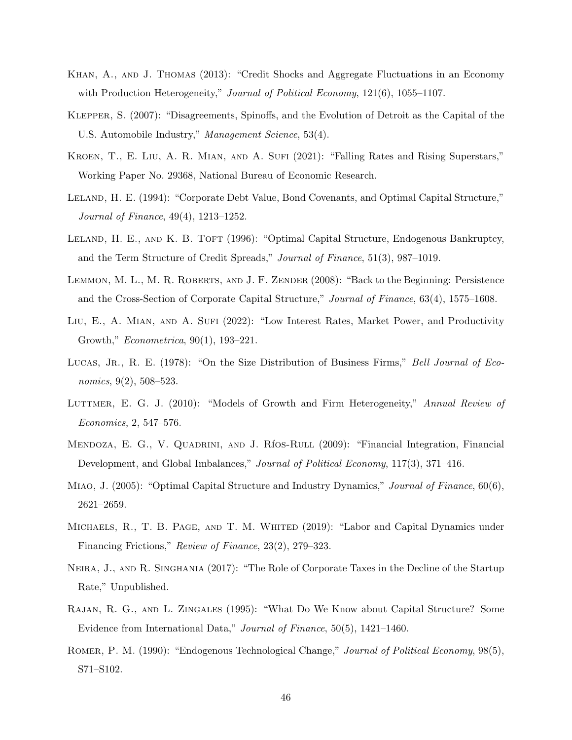- Khan, A., and J. Thomas (2013): "Credit Shocks and Aggregate Fluctuations in an Economy with Production Heterogeneity," Journal of Political Economy, 121(6), 1055–1107.
- Klepper, S. (2007): "Disagreements, Spinoffs, and the Evolution of Detroit as the Capital of the U.S. Automobile Industry," Management Science, 53(4).
- Kroen, T., E. Liu, A. R. Mian, and A. Sufi (2021): "Falling Rates and Rising Superstars," Working Paper No. 29368, National Bureau of Economic Research.
- Leland, H. E. (1994): "Corporate Debt Value, Bond Covenants, and Optimal Capital Structure," Journal of Finance, 49(4), 1213–1252.
- LELAND, H. E., AND K. B. TOFT (1996): "Optimal Capital Structure, Endogenous Bankruptcy, and the Term Structure of Credit Spreads," Journal of Finance, 51(3), 987–1019.
- LEMMON, M. L., M. R. ROBERTS, AND J. F. ZENDER (2008): "Back to the Beginning: Persistence and the Cross-Section of Corporate Capital Structure," Journal of Finance, 63(4), 1575–1608.
- LIU, E., A. MIAN, AND A. SUFI (2022): "Low Interest Rates, Market Power, and Productivity Growth," Econometrica, 90(1), 193–221.
- LUCAS, JR., R. E. (1978): "On the Size Distribution of Business Firms," Bell Journal of Economics, 9(2), 508–523.
- LUTTMER, E. G. J. (2010): "Models of Growth and Firm Heterogeneity," Annual Review of Economics, 2, 547–576.
- MENDOZA, E. G., V. QUADRINI, AND J. RÍOS-RULL (2009): "Financial Integration, Financial Development, and Global Imbalances," Journal of Political Economy, 117(3), 371–416.
- MIAO, J. (2005): "Optimal Capital Structure and Industry Dynamics," Journal of Finance, 60(6), 2621–2659.
- MICHAELS, R., T. B. PAGE, AND T. M. WHITED (2019): "Labor and Capital Dynamics under Financing Frictions," Review of Finance, 23(2), 279–323.
- Neira, J., and R. Singhania (2017): "The Role of Corporate Taxes in the Decline of the Startup Rate," Unpublished.
- Rajan, R. G., and L. Zingales (1995): "What Do We Know about Capital Structure? Some Evidence from International Data," Journal of Finance, 50(5), 1421–1460.
- ROMER, P. M. (1990): "Endogenous Technological Change," Journal of Political Economy, 98(5), S71–S102.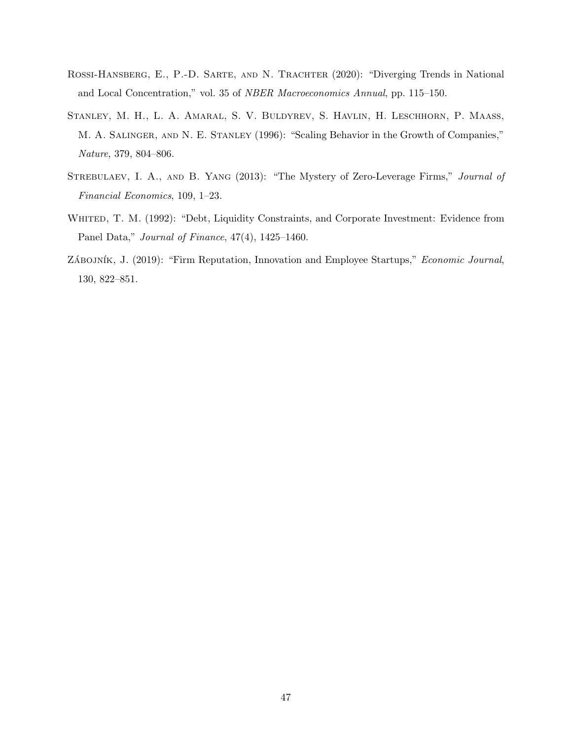- ROSSI-HANSBERG, E., P.-D. SARTE, AND N. TRACHTER (2020): "Diverging Trends in National and Local Concentration," vol. 35 of NBER Macroeconomics Annual, pp. 115–150.
- Stanley, M. H., L. A. Amaral, S. V. Buldyrev, S. Havlin, H. Leschhorn, P. Maass, M. A. SALINGER, AND N. E. STANLEY (1996): "Scaling Behavior in the Growth of Companies," Nature, 379, 804–806.
- STREBULAEV, I. A., AND B. YANG (2013): "The Mystery of Zero-Leverage Firms," Journal of Financial Economics, 109, 1–23.
- WHITED, T. M. (1992): "Debt, Liquidity Constraints, and Corporate Investment: Evidence from Panel Data," *Journal of Finance*, 47(4), 1425–1460.
- ZÁBOJNÍK, J. (2019): "Firm Reputation, Innovation and Employee Startups," *Economic Journal*, 130, 822–851.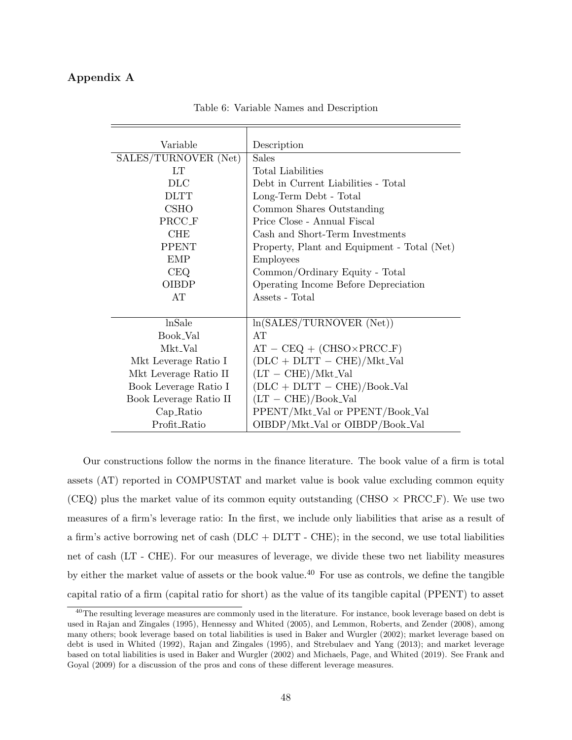## Appendix A

| Variable               | Description                                             |
|------------------------|---------------------------------------------------------|
| SALES/TURNOVER (Net)   | Sales                                                   |
| LT                     | Total Liabilities                                       |
| <b>DLC</b>             | Debt in Current Liabilities - Total                     |
| <b>DLTT</b>            | Long-Term Debt - Total                                  |
| <b>CSHO</b>            | Common Shares Outstanding                               |
| PRCC_F                 | Price Close - Annual Fiscal                             |
| <b>CHE</b>             | Cash and Short-Term Investments                         |
| <b>PPENT</b>           | Property, Plant and Equipment - Total (Net)             |
| <b>EMP</b>             | <b>Employees</b>                                        |
| CEQ.                   | Common/Ordinary Equity - Total                          |
| <b>OIBDP</b>           | Operating Income Before Depreciation                    |
| AT                     | Assets - Total                                          |
|                        |                                                         |
| lnSale                 | ln(SALES/TURNOVER (Net))                                |
| Book_Val               | AT                                                      |
| Mkt_Val                | $AT - CEQ + (CHSO \times PRCC_F)$                       |
| Mkt Leverage Ratio I   | $(DLC + DLTT - CHE)/Mkt_Val$                            |
| Mkt Leverage Ratio II  | $(LT - CHE)/Mkt$ -Val                                   |
| Book Leverage Ratio I  | $(DLC + DLTT - CHE)/Book_Val$                           |
| Book Leverage Ratio II | $(LT - CHE)/Book-Val$                                   |
| Cap_Ratio              | PPENT/Mkt <sub>-Val</sub> or PPENT/Book <sub>-Val</sub> |
| Profit_Ratio           | OIBDP/Mkt_Val or OIBDP/Book_Val                         |

Table 6: Variable Names and Description

Our constructions follow the norms in the finance literature. The book value of a firm is total assets (AT) reported in COMPUSTAT and market value is book value excluding common equity (CEQ) plus the market value of its common equity outstanding (CHSO  $\times$  PRCC<sub>F</sub>). We use two measures of a firm's leverage ratio: In the first, we include only liabilities that arise as a result of a firm's active borrowing net of cash ( $DLC + DLTT$  -  $CHE$ ); in the second, we use total liabilities net of cash (LT - CHE). For our measures of leverage, we divide these two net liability measures by either the market value of assets or the book value.<sup>40</sup> For use as controls, we define the tangible capital ratio of a firm (capital ratio for short) as the value of its tangible capital (PPENT) to asset

 $^{40}$ The resulting leverage measures are commonly used in the literature. For instance, book leverage based on debt is used in Rajan and Zingales (1995), Hennessy and Whited (2005), and Lemmon, Roberts, and Zender (2008), among many others; book leverage based on total liabilities is used in Baker and Wurgler (2002); market leverage based on debt is used in Whited (1992), Rajan and Zingales (1995), and Strebulaev and Yang (2013); and market leverage based on total liabilities is used in Baker and Wurgler (2002) and Michaels, Page, and Whited (2019). See Frank and Goyal (2009) for a discussion of the pros and cons of these different leverage measures.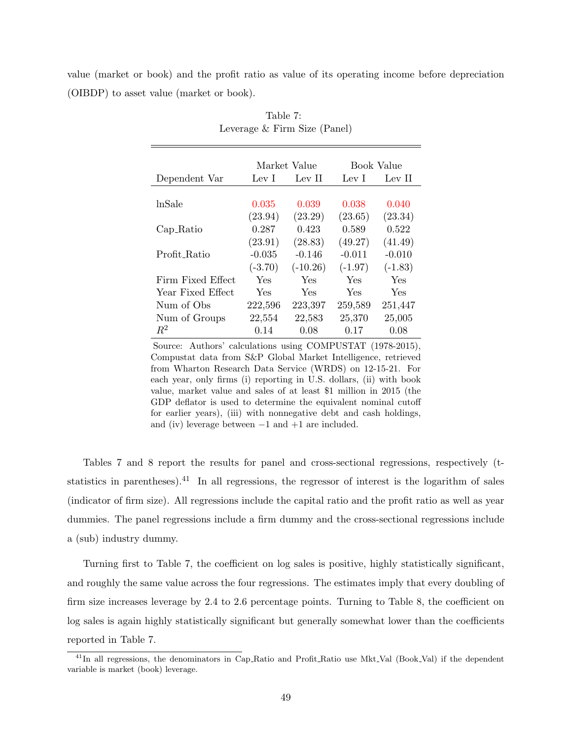value (market or book) and the profit ratio as value of its operating income before depreciation (OIBDP) to asset value (market or book).

|                   | Market Value |            |           | Book Value |
|-------------------|--------------|------------|-----------|------------|
| Dependent Var     | Lev I        | Lev II     | Lev I     | Lev II     |
|                   |              |            |           |            |
| lnSale            | 0.035        | 0.039      | 0.038     | 0.040      |
|                   | (23.94)      | (23.29)    | (23.65)   | (23.34)    |
| Cap_Ratio         | 0.287        | 0.423      | 0.589     | 0.522      |
|                   | (23.91)      | (28.83)    | (49.27)   | (41.49)    |
| Profit_Ratio      | $-0.035$     | $-0.146$   | $-0.011$  | $-0.010$   |
|                   | $(-3.70)$    | $(-10.26)$ | $(-1.97)$ | $(-1.83)$  |
| Firm Fixed Effect | Yes          | Yes        | Yes       | <b>Yes</b> |
| Year Fixed Effect | Yes          | Yes        | Yes       | Yes        |
| Num of Obs        | 222,596      | 223,397    | 259,589   | 251,447    |
| Num of Groups     | 22,554       | 22,583     | 25,370    | 25,005     |
| $R^2$             | 0.14         | 0.08       | 0.17      | 0.08       |

Table 7: Leverage & Firm Size (Panel)

Source: Authors' calculations using COMPUSTAT (1978-2015), Compustat data from S&P Global Market Intelligence, retrieved from Wharton Research Data Service (WRDS) on 12-15-21. For each year, only firms (i) reporting in U.S. dollars, (ii) with book value, market value and sales of at least \$1 million in 2015 (the GDP deflator is used to determine the equivalent nominal cutoff for earlier years), (iii) with nonnegative debt and cash holdings, and (iv) leverage between  $-1$  and  $+1$  are included.

Tables 7 and 8 report the results for panel and cross-sectional regressions, respectively (tstatistics in parentheses).<sup>41</sup> In all regressions, the regressor of interest is the logarithm of sales (indicator of firm size). All regressions include the capital ratio and the profit ratio as well as year dummies. The panel regressions include a firm dummy and the cross-sectional regressions include a (sub) industry dummy.

Turning first to Table 7, the coefficient on log sales is positive, highly statistically significant, and roughly the same value across the four regressions. The estimates imply that every doubling of firm size increases leverage by 2.4 to 2.6 percentage points. Turning to Table 8, the coefficient on log sales is again highly statistically significant but generally somewhat lower than the coefficients reported in Table 7.

<sup>&</sup>lt;sup>41</sup>In all regressions, the denominators in Cap<sub>-Ratio</sub> and Profit-Ratio use Mkt<sub>-Val</sub> (Book<sub>-Val</sub>) if the dependent variable is market (book) leverage.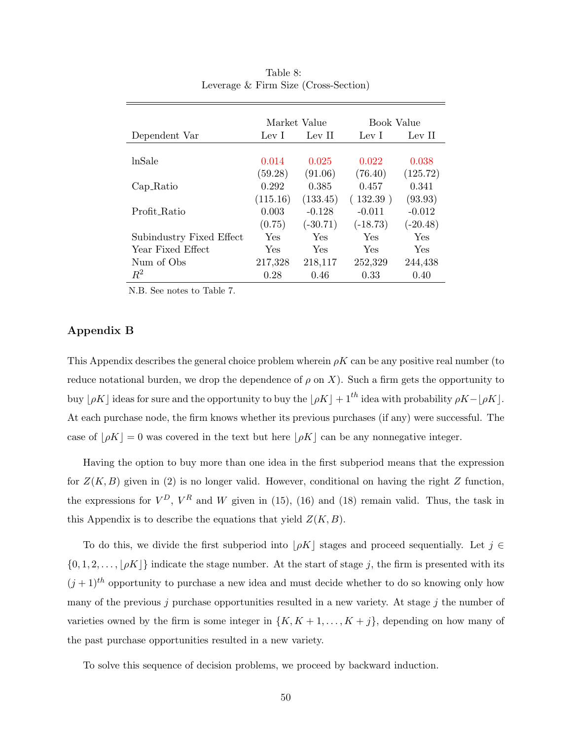|                          |                  | Market Value      | Book Value        |                   |
|--------------------------|------------------|-------------------|-------------------|-------------------|
| Dependent Var            | Lev I            | Lev II            | Lev I             | Lev II            |
|                          |                  |                   |                   |                   |
| lnSale                   | 0.014<br>(59.28) | 0.025<br>(91.06)  | 0.022<br>(76.40)  | 0.038<br>(125.72) |
| Cap_Ratio                | 0.292            | 0.385             | 0.457             | 0.341             |
|                          | (115.16)         | (133.45)          | (132.39)          | (93.93)           |
| Profit_Ratio             | 0.003            | $-0.128$          | $-0.011$          | $-0.012$          |
| Subindustry Fixed Effect | (0.75)<br>Yes    | $(-30.71)$<br>Yes | $(-18.73)$<br>Yes | $(-20.48)$<br>Yes |
| Year Fixed Effect        | Yes              | Yes               | Yes               | <b>Yes</b>        |
| Num of Obs               | 217,328          | 218,117           | 252,329           | 244,438           |
| $R^2$                    | 0.28             | 0.46              | 0.33              | 0.40              |

Table 8: Leverage & Firm Size (Cross-Section)

N.B. See notes to Table 7.

## Appendix B

This Appendix describes the general choice problem wherein  $\rho K$  can be any positive real number (to reduce notational burden, we drop the dependence of  $\rho$  on X). Such a firm gets the opportunity to buy  $\lfloor \rho K \rfloor$  ideas for sure and the opportunity to buy the  $\lfloor \rho K \rfloor + 1^{th}$  idea with probability  $\rho K - \lfloor \rho K \rfloor$ . At each purchase node, the firm knows whether its previous purchases (if any) were successful. The case of  $|\rho K| = 0$  was covered in the text but here  $|\rho K|$  can be any nonnegative integer.

Having the option to buy more than one idea in the first subperiod means that the expression for  $Z(K, B)$  given in (2) is no longer valid. However, conditional on having the right Z function, the expressions for  $V^D$ ,  $V^R$  and W given in (15), (16) and (18) remain valid. Thus, the task in this Appendix is to describe the equations that yield  $Z(K, B)$ .

To do this, we divide the first subperiod into  $|\rho K|$  stages and proceed sequentially. Let  $j \in \mathcal{I}$  $\{0, 1, 2, \ldots, \lfloor pK \rfloor\}$  indicate the stage number. At the start of stage j, the firm is presented with its  $(j + 1)<sup>th</sup>$  opportunity to purchase a new idea and must decide whether to do so knowing only how many of the previous j purchase opportunities resulted in a new variety. At stage j the number of varieties owned by the firm is some integer in  $\{K, K+1, \ldots, K+j\}$ , depending on how many of the past purchase opportunities resulted in a new variety.

To solve this sequence of decision problems, we proceed by backward induction.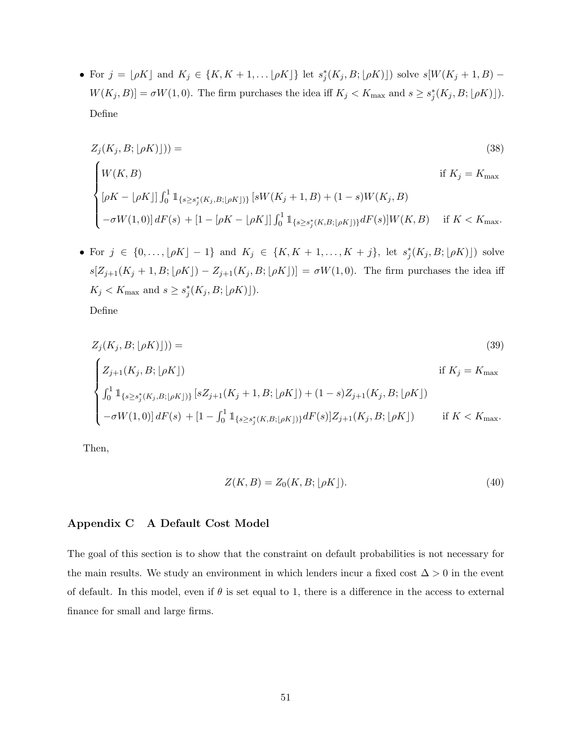• For  $j = \lfloor \rho K \rfloor$  and  $K_j \in \{K, K+1, \ldots, \lfloor \rho K \rfloor\}$  let  $s_j^*(K_j, B; \lfloor \rho K \rfloor)$  solve  $s[W(K_j + 1, B) W(K_j, B) = \sigma W(1, 0)$ . The firm purchases the idea iff  $K_j < K_{\text{max}}$  and  $s \geq s_j^*(K_j, B; \lfloor \rho K \rfloor)$ . Define

$$
Z_{j}(K_{j}, B; \lfloor \rho K \rfloor)) =
$$
\n
$$
\begin{cases}\nW(K, B) & \text{if } K_{j} = K_{\max} \\
\lceil \rho K - \lfloor \rho K \rfloor \rceil \int_{0}^{1} \mathbb{1}_{\{s \ge s_{j}^{*}(K_{j}, B; \lfloor \rho K \rfloor)\}} \lceil sW(K_{j} + 1, B) + (1 - s)W(K_{j}, B) \\
-\sigma W(1, 0) \rceil dF(s) + \lceil 1 - \lfloor \rho K - \lfloor \rho K \rfloor \rfloor \int_{0}^{1} \mathbb{1}_{\{s \ge s_{j}^{*}(K, B; \lfloor \rho K \rfloor)\}} dF(s) \rceil W(K, B) & \text{if } K < K_{\max}.\n\end{cases}
$$
\n(38)

• For  $j \in \{0, ..., \lfloor pK \rfloor - 1\}$  and  $K_j \in \{K, K + 1, ..., K + j\}$ , let  $s_j^*(K_j, B; \lfloor pK \rfloor)$  solve  $s[Z_{j+1}(K_j+1,B; \lfloor pK \rfloor) - Z_{j+1}(K_j,B; \lfloor pK \rfloor)] = \sigma W(1,0)$ . The firm purchases the idea iff  $K_j < K_{\text{max}}$  and  $s \geq s_j^*(K_j, B; \lfloor \rho K \rfloor).$ 

Define

$$
Z_{j}(K_{j}, B; \lfloor \rho K \rfloor)) =
$$
\n
$$
\begin{cases}\nZ_{j+1}(K_{j}, B; \lfloor \rho K \rfloor) & \text{if } K_{j} = K_{\max} \\
\int_{0}^{1} \mathbb{1}_{\{s \ge s_{j}^{*}(K_{j}, B; \lfloor \rho K \rfloor)\}} [sZ_{j+1}(K_{j} + 1, B; \lfloor \rho K \rfloor) + (1 - s)Z_{j+1}(K_{j}, B; \lfloor \rho K \rfloor) \\
-\sigma W(1, 0)] dF(s) + [1 - \int_{0}^{1} \mathbb{1}_{\{s \ge s_{j}^{*}(K, B; \lfloor \rho K \rfloor)\}} dF(s)]Z_{j+1}(K_{j}, B; \lfloor \rho K \rfloor) & \text{if } K < K_{\max}.\n\end{cases}
$$
\n(39)

Then,

$$
Z(K, B) = Z_0(K, B; \lfloor \rho K \rfloor). \tag{40}
$$

## Appendix C A Default Cost Model

The goal of this section is to show that the constraint on default probabilities is not necessary for the main results. We study an environment in which lenders incur a fixed cost  $\Delta > 0$  in the event of default. In this model, even if  $\theta$  is set equal to 1, there is a difference in the access to external finance for small and large firms.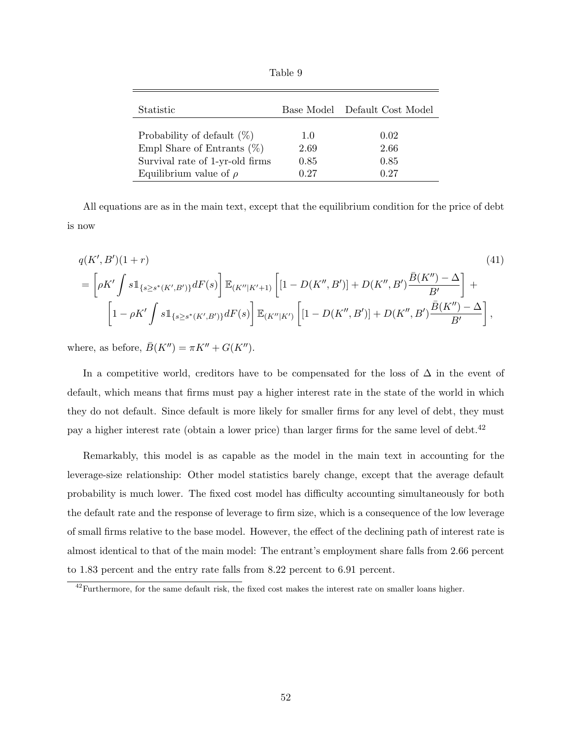| Table 9 |  |
|---------|--|
|         |  |

| Statistic                                                                                       |                      | Base Model Default Cost Model |
|-------------------------------------------------------------------------------------------------|----------------------|-------------------------------|
| Probability of default $(\%)$                                                                   | 1.0                  | 0.02                          |
| Empl Share of Entrants $(\%)$<br>Survival rate of 1-yr-old firms<br>Equilibrium value of $\rho$ | 2.69<br>0.85<br>በ 27 | 2.66<br>0.85<br>0.27          |

All equations are as in the main text, except that the equilibrium condition for the price of debt is now

$$
q(K', B')(1+r)
$$
\n
$$
= \left[\rho K' \int s \mathbb{1}_{\{s \ge s^*(K', B')\}} dF(s)\right] \mathbb{E}_{(K''|K'+1)}\left[ [1 - D(K'', B')] + D(K'', B') \frac{\bar{B}(K'') - \Delta}{B'} \right] + \left[1 - \rho K' \int s \mathbb{1}_{\{s \ge s^*(K', B')\}} dF(s)\right] \mathbb{E}_{(K''|K')} \left[ [1 - D(K'', B')] + D(K'', B') \frac{\bar{B}(K'') - \Delta}{B'} \right],
$$
\n(41)

where, as before,  $\bar{B}(K'') = \pi K'' + G(K'')$ .

In a competitive world, creditors have to be compensated for the loss of  $\Delta$  in the event of default, which means that firms must pay a higher interest rate in the state of the world in which they do not default. Since default is more likely for smaller firms for any level of debt, they must pay a higher interest rate (obtain a lower price) than larger firms for the same level of debt.<sup>42</sup>

Remarkably, this model is as capable as the model in the main text in accounting for the leverage-size relationship: Other model statistics barely change, except that the average default probability is much lower. The fixed cost model has difficulty accounting simultaneously for both the default rate and the response of leverage to firm size, which is a consequence of the low leverage of small firms relative to the base model. However, the effect of the declining path of interest rate is almost identical to that of the main model: The entrant's employment share falls from 2.66 percent to 1.83 percent and the entry rate falls from 8.22 percent to 6.91 percent.

<sup>&</sup>lt;sup>42</sup>Furthermore, for the same default risk, the fixed cost makes the interest rate on smaller loans higher.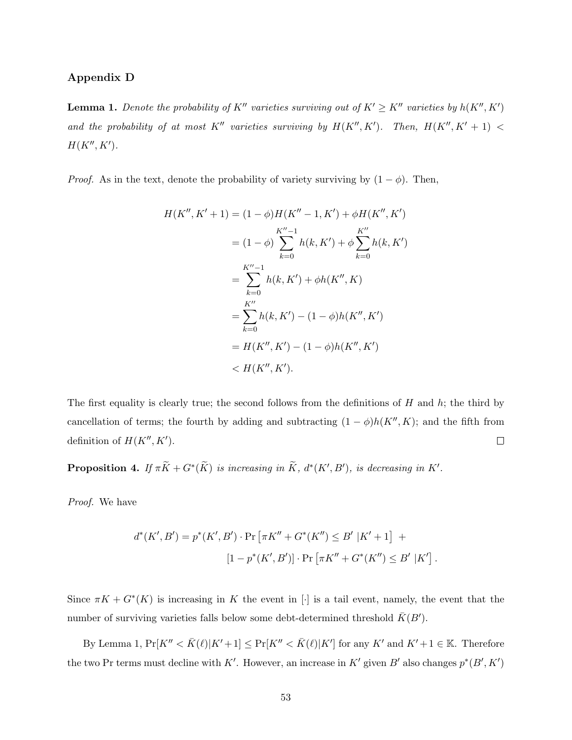## Appendix D

**Lemma 1.** Denote the probability of K'' varieties surviving out of  $K' \geq K''$  varieties by  $h(K'', K')$ and the probability of at most K<sup>"</sup> varieties surviving by  $H(K'', K')$ . Then,  $H(K'', K' + 1)$  $H(K'', K').$ 

*Proof.* As in the text, denote the probability of variety surviving by  $(1 - \phi)$ . Then,

$$
H(K'', K' + 1) = (1 - \phi)H(K'' - 1, K') + \phi H(K'', K')
$$
  
\n
$$
= (1 - \phi) \sum_{k=0}^{K'' - 1} h(k, K') + \phi \sum_{k=0}^{K''} h(k, K')
$$
  
\n
$$
= \sum_{k=0}^{K'' - 1} h(k, K') + \phi h(K'', K)
$$
  
\n
$$
= \sum_{k=0}^{K''} h(k, K') - (1 - \phi)h(K'', K')
$$
  
\n
$$
= H(K'', K') - (1 - \phi)h(K'', K')
$$
  
\n
$$
< H(K'', K').
$$

The first equality is clearly true; the second follows from the definitions of  $H$  and  $h$ ; the third by cancellation of terms; the fourth by adding and subtracting  $(1 - \phi)h(K'', K)$ ; and the fifth from definition of  $H(K'', K')$ .  $\Box$ 

**Proposition 4.** If  $\pi \tilde{K} + G^*(\tilde{K})$  is increasing in  $\tilde{K}$ ,  $d^*(K', B')$ , is decreasing in  $K'$ .

Proof. We have

$$
d^*(K', B') = p^*(K', B') \cdot \Pr[\pi K'' + G^*(K'') \le B' | K' + 1] +
$$
  

$$
[1 - p^*(K', B')] \cdot \Pr[\pi K'' + G^*(K'') \le B' | K'].
$$

Since  $\pi K + G^*(K)$  is increasing in K the event in [·] is a tail event, namely, the event that the number of surviving varieties falls below some debt-determined threshold  $\bar{K}(B')$ .

By Lemma 1,  $Pr[K'' < \overline{K}(\ell)|K' + 1] \leq Pr[K'' < \overline{K}(\ell)|K'|$  for any  $K'$  and  $K' + 1 \in \mathbb{K}$ . Therefore the two Pr terms must decline with K'. However, an increase in K' given B' also changes  $p^*(B', K')$